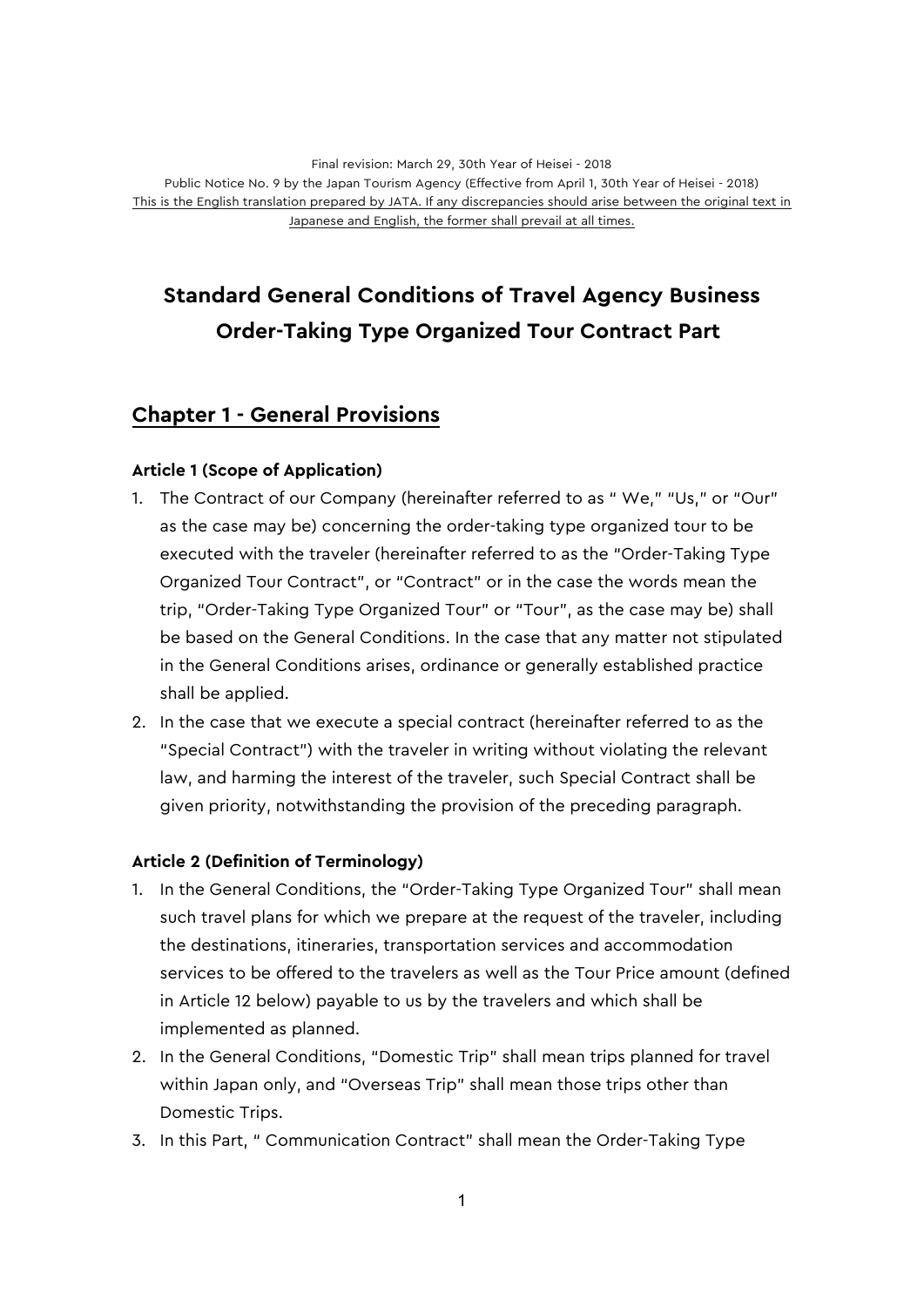# **Standard General Conditions of Travel Agency Business Order-Taking Type Organized Tour Contract Part**

# **Chapter 1 - General Provisions**

### **Article 1 (Scope of Application)**

- 1. The Contract of our Company (hereinafter referred to as " We," "Us," or "Our" as the case may be) concerning the order-taking type organized tour to be executed with the traveler (hereinafter referred to as the "Order-Taking Type Organized Tour Contract", or "Contract" or in the case the words mean the trip, "Order-Taking Type Organized Tour" or "Tour", as the case may be) shall be based on the General Conditions. In the case that any matter not stipulated in the General Conditions arises, ordinance or generally established practice shall be applied.
- 2. In the case that we execute a special contract (hereinafter referred to as the "Special Contract") with the traveler in writing without violating the relevant law, and harming the interest of the traveler, such Special Contract shall be given priority, notwithstanding the provision of the preceding paragraph.

### **Article 2 (Definition of Terminology)**

- 1. In the General Conditions, the "Order-Taking Type Organized Tour" shall mean such travel plans for which we prepare at the request of the traveler, including the destinations, itineraries, transportation services and accommodation services to be offered to the travelers as well as the Tour Price amount (defined in Article 12 below) payable to us by the travelers and which shall be implemented as planned.
- 2. In the General Conditions, "Domestic Trip" shall mean trips planned for travel within Japan only, and "Overseas Trip" shall mean those trips other than Domestic Trips.
- 3. In this Part, " Communication Contract" shall mean the Order-Taking Type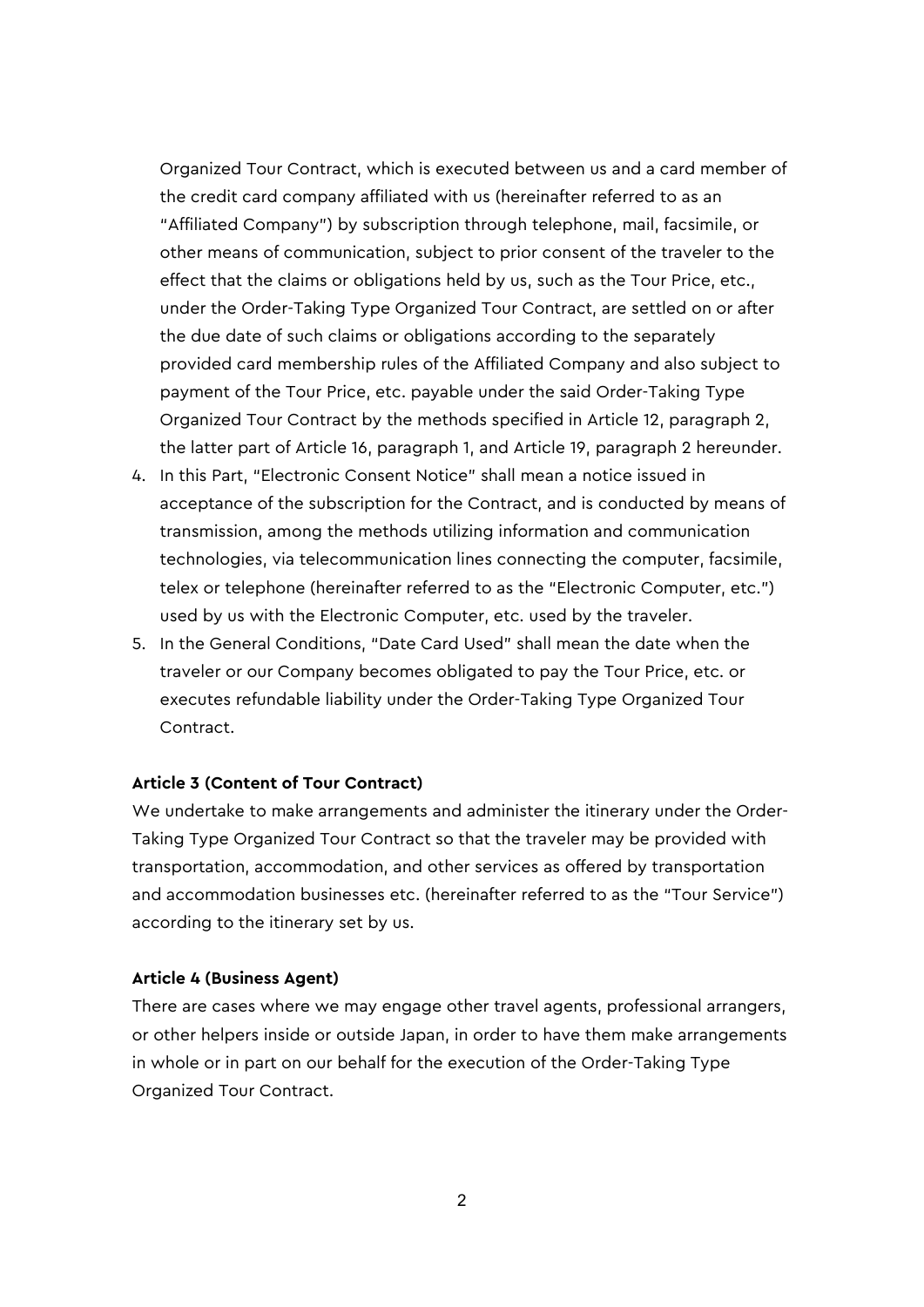Organized Tour Contract, which is executed between us and a card member of the credit card company affiliated with us (hereinafter referred to as an "Affiliated Company") by subscription through telephone, mail, facsimile, or other means of communication, subject to prior consent of the traveler to the effect that the claims or obligations held by us, such as the Tour Price, etc., under the Order-Taking Type Organized Tour Contract, are settled on or after the due date of such claims or obligations according to the separately provided card membership rules of the Affiliated Company and also subject to payment of the Tour Price, etc. payable under the said Order-Taking Type Organized Tour Contract by the methods specified in Article 12, paragraph 2, the latter part of Article 16, paragraph 1, and Article 19, paragraph 2 hereunder.

- 4. In this Part, "Electronic Consent Notice" shall mean a notice issued in acceptance of the subscription for the Contract, and is conducted by means of transmission, among the methods utilizing information and communication technologies, via telecommunication lines connecting the computer, facsimile, telex or telephone (hereinafter referred to as the "Electronic Computer, etc.") used by us with the Electronic Computer, etc. used by the traveler.
- 5. In the General Conditions, "Date Card Used" shall mean the date when the traveler or our Company becomes obligated to pay the Tour Price, etc. or executes refundable liability under the Order-Taking Type Organized Tour Contract.

#### **Article 3 (Content of Tour Contract)**

We undertake to make arrangements and administer the itinerary under the Order-Taking Type Organized Tour Contract so that the traveler may be provided with transportation, accommodation, and other services as offered by transportation and accommodation businesses etc. (hereinafter referred to as the "Tour Service") according to the itinerary set by us.

#### **Article 4 (Business Agent)**

There are cases where we may engage other travel agents, professional arrangers, or other helpers inside or outside Japan, in order to have them make arrangements in whole or in part on our behalf for the execution of the Order-Taking Type Organized Tour Contract.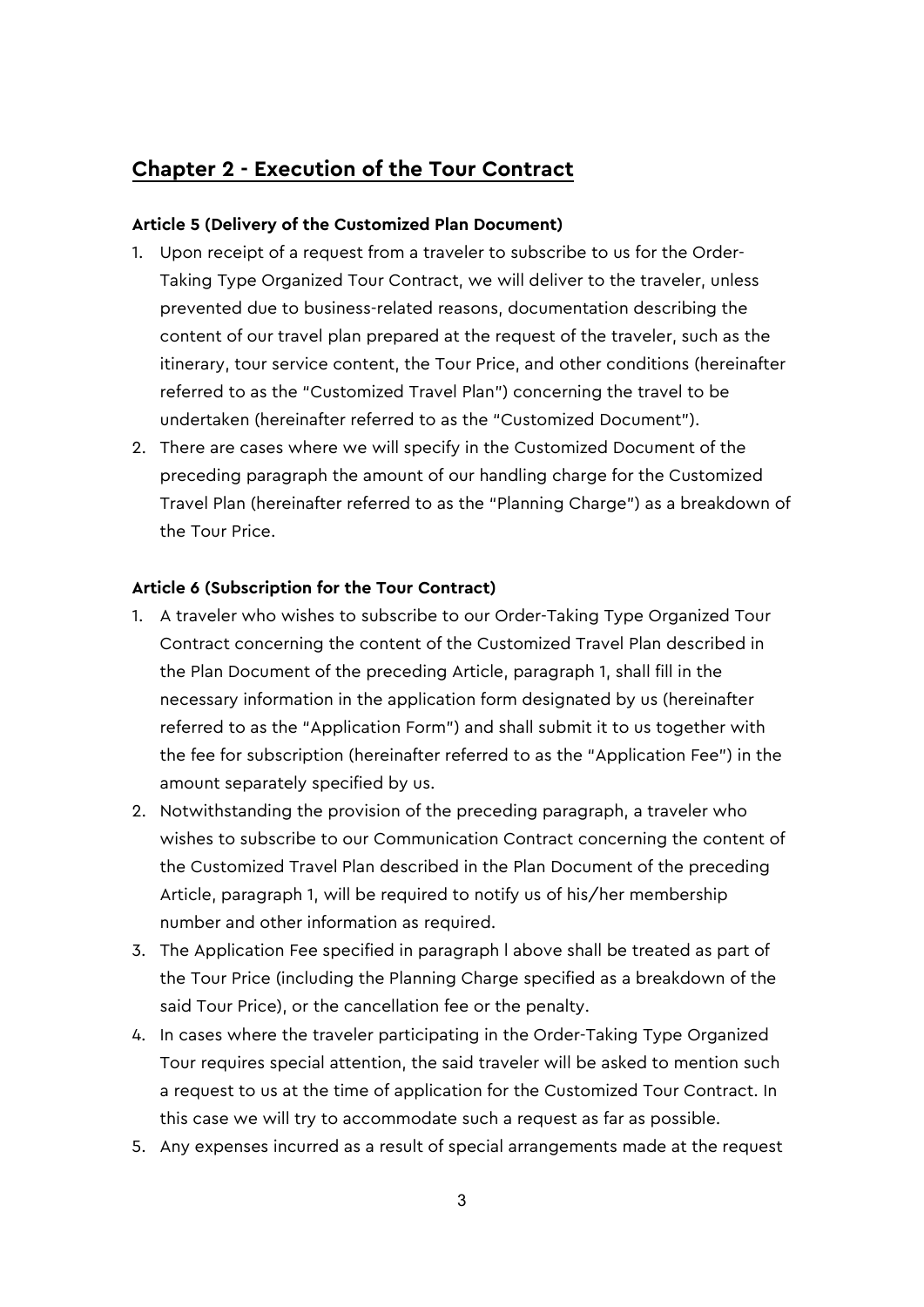# **Chapter 2 - Execution of the Tour Contract**

### **Article 5 (Delivery of the Customized Plan Document)**

- 1. Upon receipt of a request from a traveler to subscribe to us for the Order-Taking Type Organized Tour Contract, we will deliver to the traveler, unless prevented due to business-related reasons, documentation describing the content of our travel plan prepared at the request of the traveler, such as the itinerary, tour service content, the Tour Price, and other conditions (hereinafter referred to as the "Customized Travel Plan") concerning the travel to be undertaken (hereinafter referred to as the "Customized Document").
- 2. There are cases where we will specify in the Customized Document of the preceding paragraph the amount of our handling charge for the Customized Travel Plan (hereinafter referred to as the "Planning Charge") as a breakdown of the Tour Price.

### **Article 6 (Subscription for the Tour Contract)**

- 1. A traveler who wishes to subscribe to our Order-Taking Type Organized Tour Contract concerning the content of the Customized Travel Plan described in the Plan Document of the preceding Article, paragraph 1, shall fill in the necessary information in the application form designated by us (hereinafter referred to as the "Application Form") and shall submit it to us together with the fee for subscription (hereinafter referred to as the "Application Fee") in the amount separately specified by us.
- 2. Notwithstanding the provision of the preceding paragraph, a traveler who wishes to subscribe to our Communication Contract concerning the content of the Customized Travel Plan described in the Plan Document of the preceding Article, paragraph 1, will be required to notify us of his/her membership number and other information as required.
- 3. The Application Fee specified in paragraph l above shall be treated as part of the Tour Price (including the Planning Charge specified as a breakdown of the said Tour Price), or the cancellation fee or the penalty.
- 4. In cases where the traveler participating in the Order-Taking Type Organized Tour requires special attention, the said traveler will be asked to mention such a request to us at the time of application for the Customized Tour Contract. In this case we will try to accommodate such a request as far as possible.
- 5. Any expenses incurred as a result of special arrangements made at the request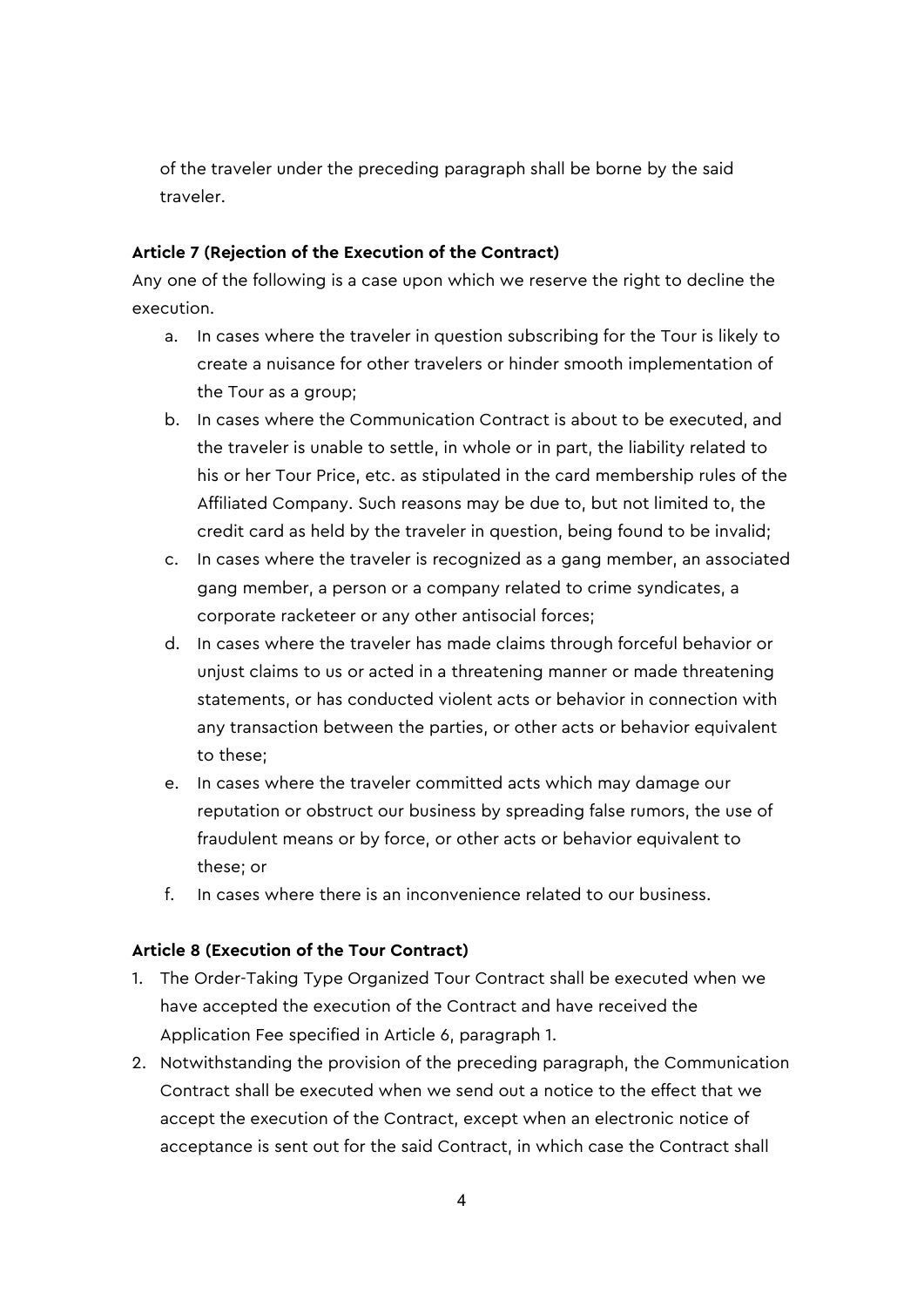of the traveler under the preceding paragraph shall be borne by the said traveler.

### **Article 7 (Rejection of the Execution of the Contract)**

Any one of the following is a case upon which we reserve the right to decline the execution.

- a. In cases where the traveler in question subscribing for the Tour is likely to create a nuisance for other travelers or hinder smooth implementation of the Tour as a group;
- b. In cases where the Communication Contract is about to be executed, and the traveler is unable to settle, in whole or in part, the liability related to his or her Tour Price, etc. as stipulated in the card membership rules of the Affiliated Company. Such reasons may be due to, but not limited to, the credit card as held by the traveler in question, being found to be invalid;
- c. In cases where the traveler is recognized as a gang member, an associated gang member, a person or a company related to crime syndicates, a corporate racketeer or any other antisocial forces;
- d. In cases where the traveler has made claims through forceful behavior or unjust claims to us or acted in a threatening manner or made threatening statements, or has conducted violent acts or behavior in connection with any transaction between the parties, or other acts or behavior equivalent to these;
- e. In cases where the traveler committed acts which may damage our reputation or obstruct our business by spreading false rumors, the use of fraudulent means or by force, or other acts or behavior equivalent to these; or
- f. In cases where there is an inconvenience related to our business.

### **Article 8 (Execution of the Tour Contract)**

- 1. The Order-Taking Type Organized Tour Contract shall be executed when we have accepted the execution of the Contract and have received the Application Fee specified in Article 6, paragraph 1.
- 2. Notwithstanding the provision of the preceding paragraph, the Communication Contract shall be executed when we send out a notice to the effect that we accept the execution of the Contract, except when an electronic notice of acceptance is sent out for the said Contract, in which case the Contract shall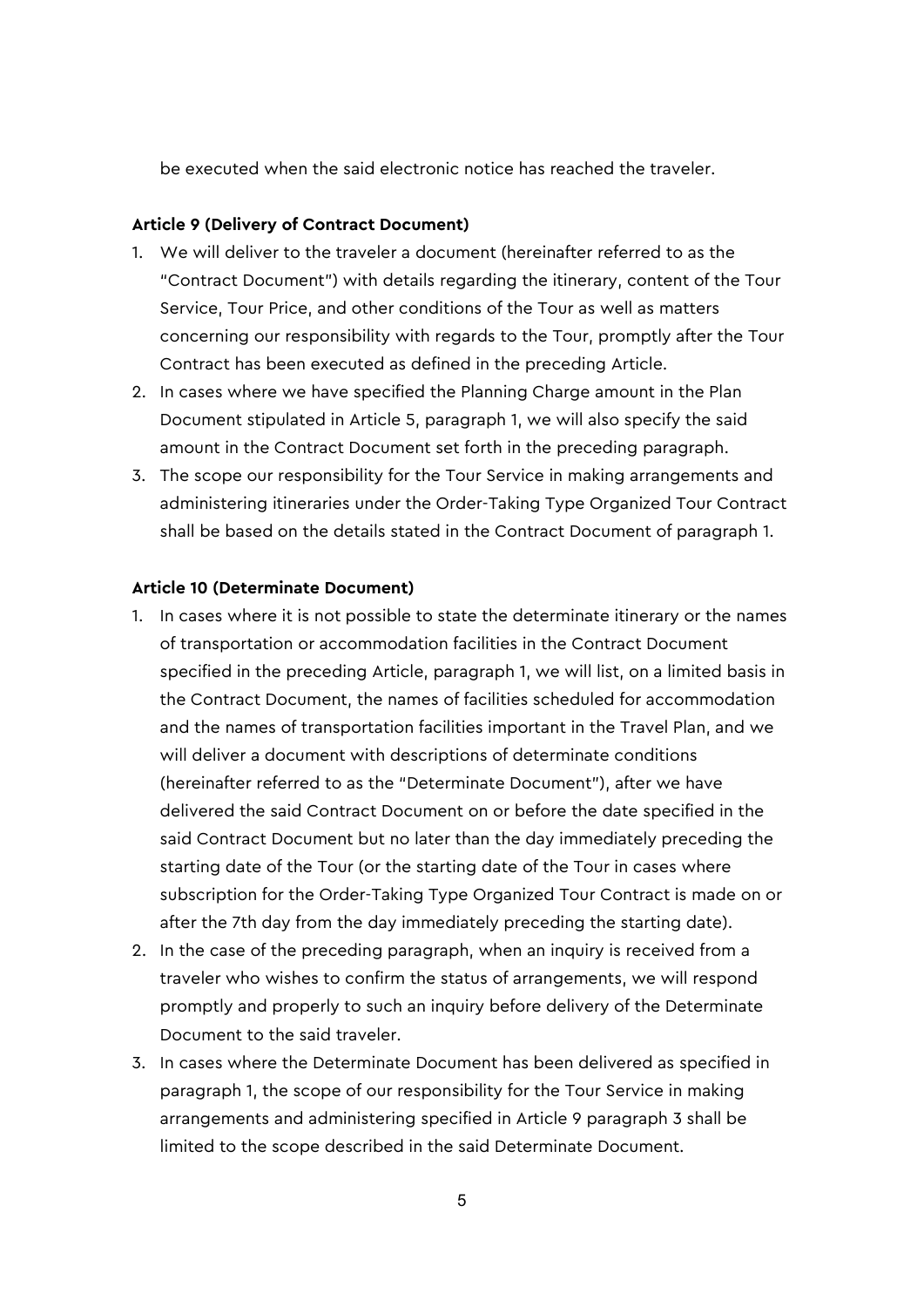be executed when the said electronic notice has reached the traveler.

#### **Article 9 (Delivery of Contract Document)**

- 1. We will deliver to the traveler a document (hereinafter referred to as the "Contract Document") with details regarding the itinerary, content of the Tour Service, Tour Price, and other conditions of the Tour as well as matters concerning our responsibility with regards to the Tour, promptly after the Tour Contract has been executed as defined in the preceding Article.
- 2. In cases where we have specified the Planning Charge amount in the Plan Document stipulated in Article 5, paragraph 1, we will also specify the said amount in the Contract Document set forth in the preceding paragraph.
- 3. The scope our responsibility for the Tour Service in making arrangements and administering itineraries under the Order-Taking Type Organized Tour Contract shall be based on the details stated in the Contract Document of paragraph 1.

#### **Article 10 (Determinate Document)**

- 1. In cases where it is not possible to state the determinate itinerary or the names of transportation or accommodation facilities in the Contract Document specified in the preceding Article, paragraph 1, we will list, on a limited basis in the Contract Document, the names of facilities scheduled for accommodation and the names of transportation facilities important in the Travel Plan, and we will deliver a document with descriptions of determinate conditions (hereinafter referred to as the "Determinate Document"), after we have delivered the said Contract Document on or before the date specified in the said Contract Document but no later than the day immediately preceding the starting date of the Tour (or the starting date of the Tour in cases where subscription for the Order-Taking Type Organized Tour Contract is made on or after the 7th day from the day immediately preceding the starting date).
- 2. In the case of the preceding paragraph, when an inquiry is received from a traveler who wishes to confirm the status of arrangements, we will respond promptly and properly to such an inquiry before delivery of the Determinate Document to the said traveler.
- 3. In cases where the Determinate Document has been delivered as specified in paragraph 1, the scope of our responsibility for the Tour Service in making arrangements and administering specified in Article 9 paragraph 3 shall be limited to the scope described in the said Determinate Document.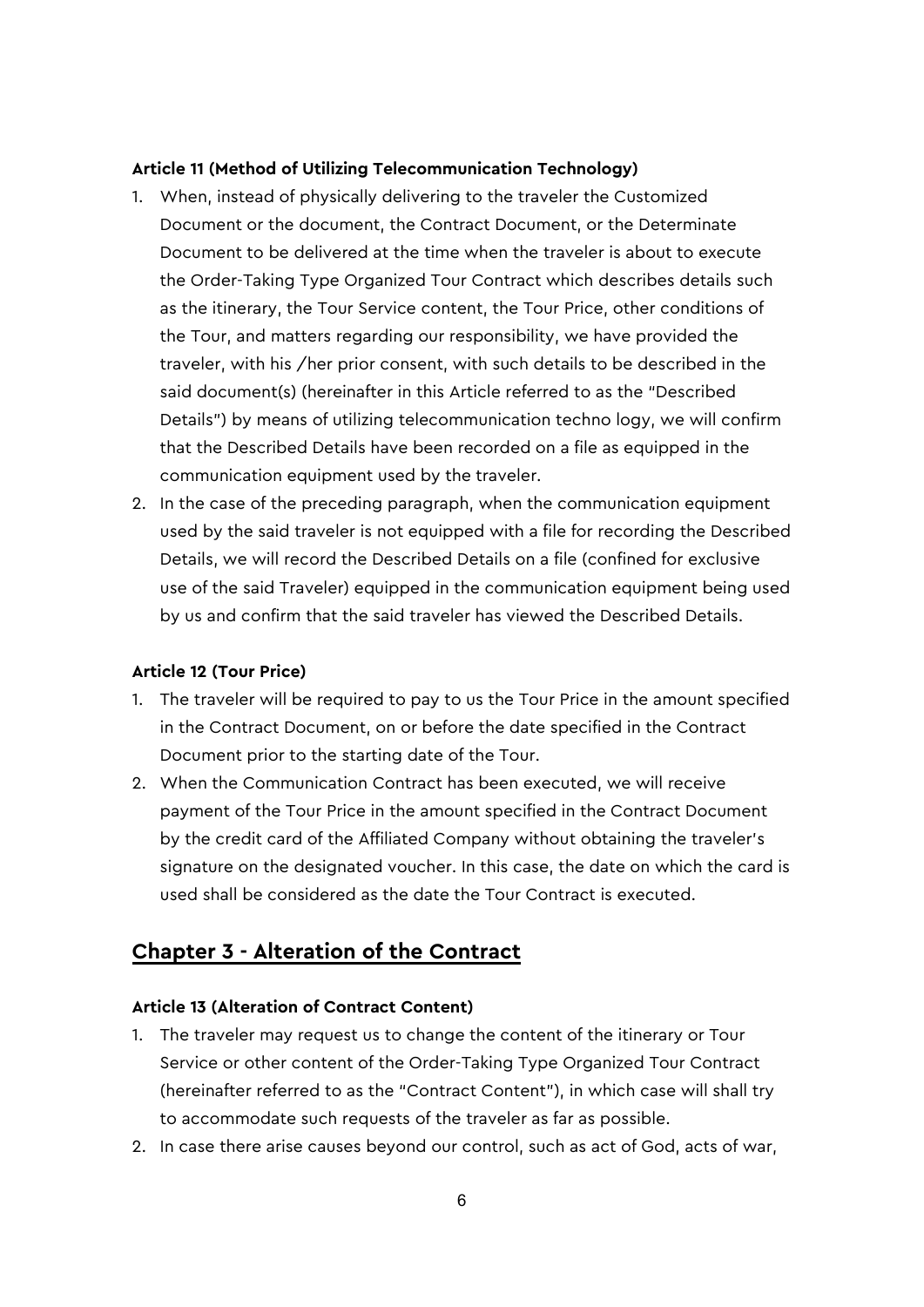### **Article 11 (Method of Utilizing Telecommunication Technology)**

- 1. When, instead of physically delivering to the traveler the Customized Document or the document, the Contract Document, or the Determinate Document to be delivered at the time when the traveler is about to execute the Order-Taking Type Organized Tour Contract which describes details such as the itinerary, the Tour Service content, the Tour Price, other conditions of the Tour, and matters regarding our responsibility, we have provided the traveler, with his /her prior consent, with such details to be described in the said document(s) (hereinafter in this Article referred to as the "Described Details") by means of utilizing telecommunication techno logy, we will confirm that the Described Details have been recorded on a file as equipped in the communication equipment used by the traveler.
- 2. In the case of the preceding paragraph, when the communication equipment used by the said traveler is not equipped with a file for recording the Described Details, we will record the Described Details on a file (confined for exclusive use of the said Traveler) equipped in the communication equipment being used by us and confirm that the said traveler has viewed the Described Details.

### **Article 12 (Tour Price)**

- 1. The traveler will be required to pay to us the Tour Price in the amount specified in the Contract Document, on or before the date specified in the Contract Document prior to the starting date of the Tour.
- 2. When the Communication Contract has been executed, we will receive payment of the Tour Price in the amount specified in the Contract Document by the credit card of the Affiliated Company without obtaining the traveler's signature on the designated voucher. In this case, the date on which the card is used shall be considered as the date the Tour Contract is executed.

# **Chapter 3 - Alteration of the Contract**

#### **Article 13 (Alteration of Contract Content)**

- 1. The traveler may request us to change the content of the itinerary or Tour Service or other content of the Order-Taking Type Organized Tour Contract (hereinafter referred to as the "Contract Content"), in which case will shall try to accommodate such requests of the traveler as far as possible.
- 2. In case there arise causes beyond our control, such as act of God, acts of war,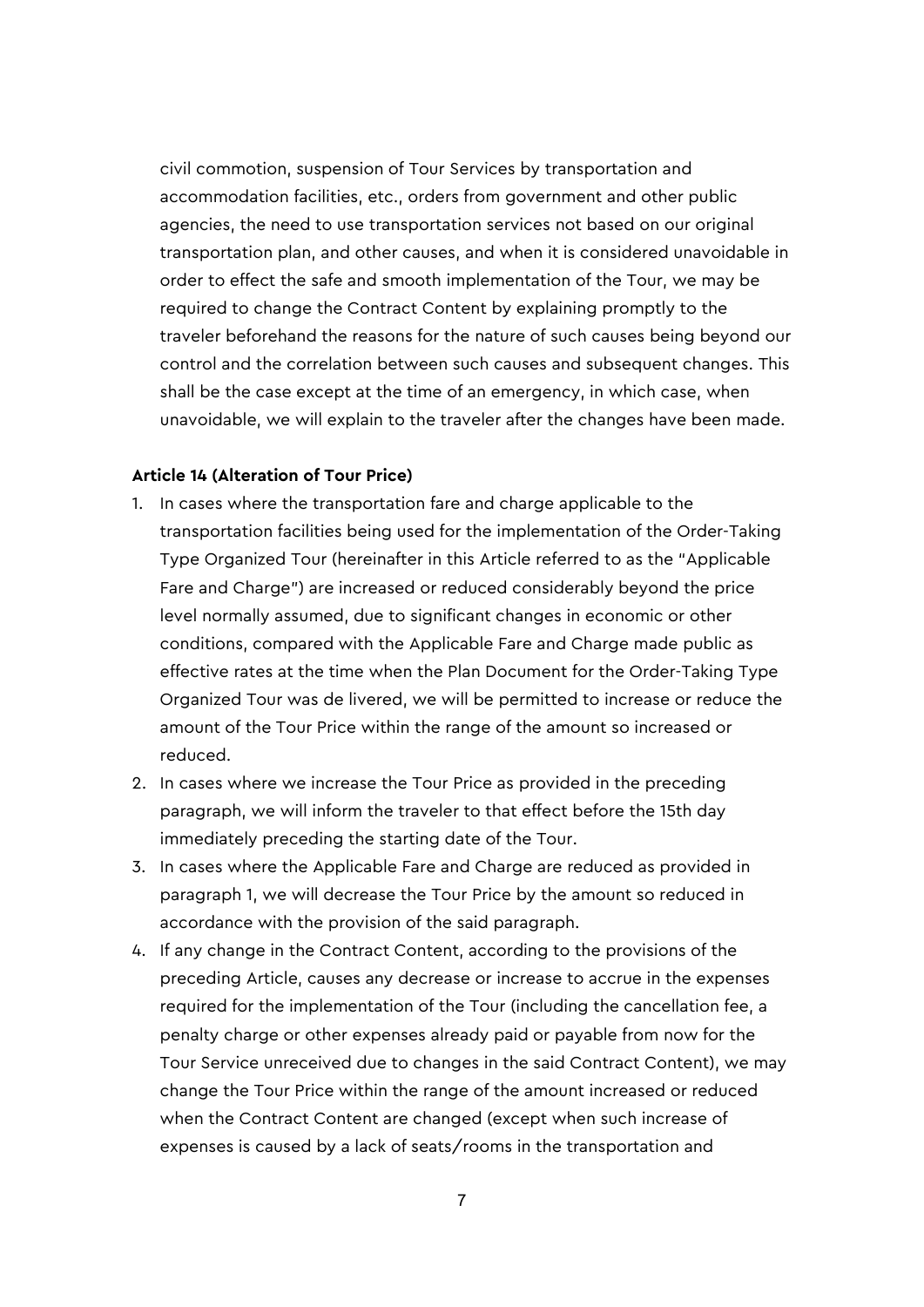civil commotion, suspension of Tour Services by transportation and accommodation facilities, etc., orders from government and other public agencies, the need to use transportation services not based on our original transportation plan, and other causes, and when it is considered unavoidable in order to effect the safe and smooth implementation of the Tour, we may be required to change the Contract Content by explaining promptly to the traveler beforehand the reasons for the nature of such causes being beyond our control and the correlation between such causes and subsequent changes. This shall be the case except at the time of an emergency, in which case, when unavoidable, we will explain to the traveler after the changes have been made.

#### **Article 14 (Alteration of Tour Price)**

- 1. In cases where the transportation fare and charge applicable to the transportation facilities being used for the implementation of the Order-Taking Type Organized Tour (hereinafter in this Article referred to as the "Applicable Fare and Charge") are increased or reduced considerably beyond the price level normally assumed, due to significant changes in economic or other conditions, compared with the Applicable Fare and Charge made public as effective rates at the time when the Plan Document for the Order-Taking Type Organized Tour was de livered, we will be permitted to increase or reduce the amount of the Tour Price within the range of the amount so increased or reduced.
- 2. In cases where we increase the Tour Price as provided in the preceding paragraph, we will inform the traveler to that effect before the 15th day immediately preceding the starting date of the Tour.
- 3. In cases where the Applicable Fare and Charge are reduced as provided in paragraph 1, we will decrease the Tour Price by the amount so reduced in accordance with the provision of the said paragraph.
- 4. If any change in the Contract Content, according to the provisions of the preceding Article, causes any decrease or increase to accrue in the expenses required for the implementation of the Tour (including the cancellation fee, a penalty charge or other expenses already paid or payable from now for the Tour Service unreceived due to changes in the said Contract Content), we may change the Tour Price within the range of the amount increased or reduced when the Contract Content are changed (except when such increase of expenses is caused by a lack of seats/rooms in the transportation and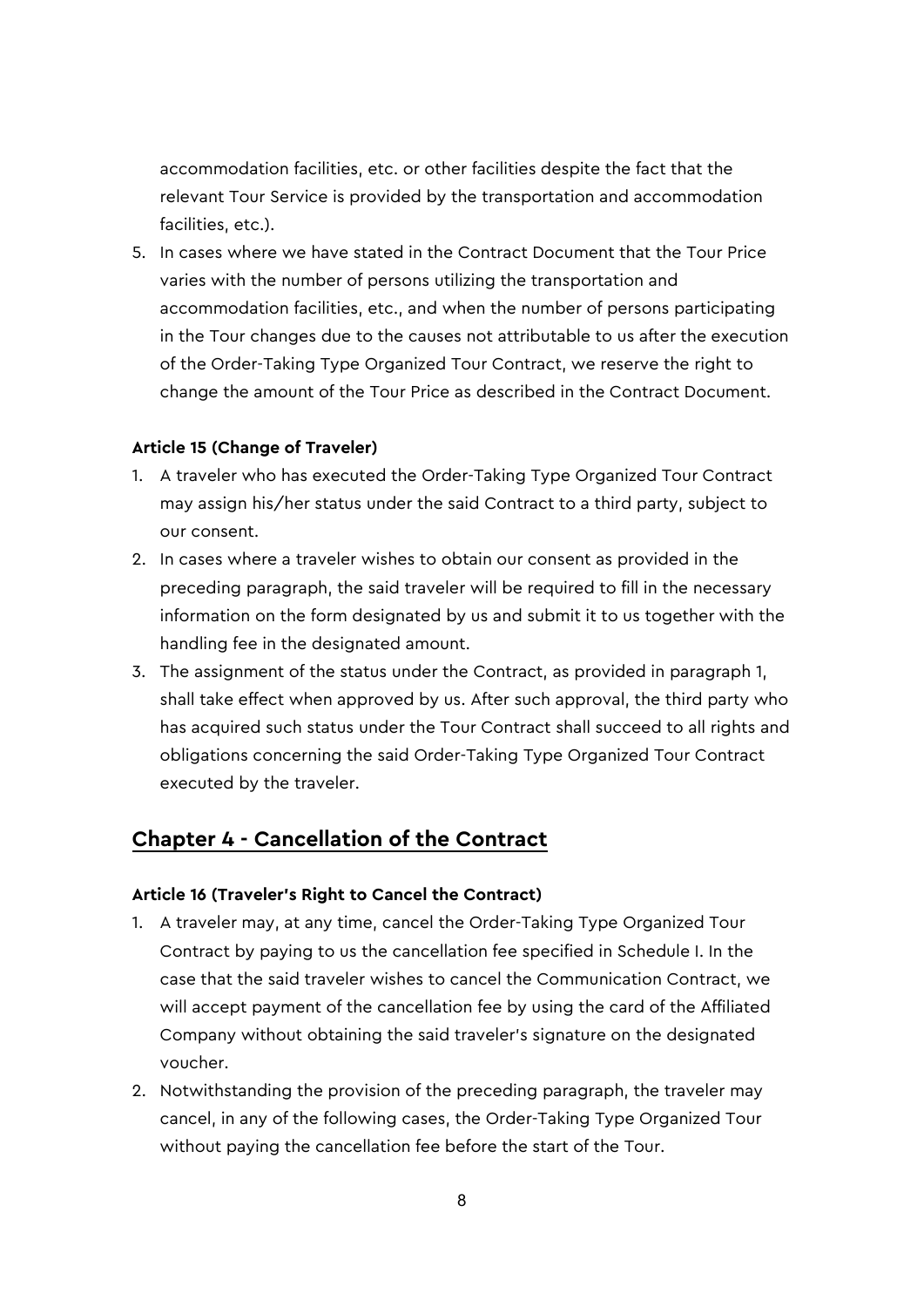accommodation facilities, etc. or other facilities despite the fact that the relevant Tour Service is provided by the transportation and accommodation facilities, etc.).

5. In cases where we have stated in the Contract Document that the Tour Price varies with the number of persons utilizing the transportation and accommodation facilities, etc., and when the number of persons participating in the Tour changes due to the causes not attributable to us after the execution of the Order-Taking Type Organized Tour Contract, we reserve the right to change the amount of the Tour Price as described in the Contract Document.

### **Article 15 (Change of Traveler)**

- 1. A traveler who has executed the Order-Taking Type Organized Tour Contract may assign his/her status under the said Contract to a third party, subject to our consent.
- 2. In cases where a traveler wishes to obtain our consent as provided in the preceding paragraph, the said traveler will be required to fill in the necessary information on the form designated by us and submit it to us together with the handling fee in the designated amount.
- 3. The assignment of the status under the Contract, as provided in paragraph 1, shall take effect when approved by us. After such approval, the third party who has acquired such status under the Tour Contract shall succeed to all rights and obligations concerning the said Order-Taking Type Organized Tour Contract executed by the traveler.

# **Chapter 4 - Cancellation of the Contract**

#### **Article 16 (Traveler's Right to Cancel the Contract)**

- 1. A traveler may, at any time, cancel the Order-Taking Type Organized Tour Contract by paying to us the cancellation fee specified in Schedule I. In the case that the said traveler wishes to cancel the Communication Contract, we will accept payment of the cancellation fee by using the card of the Affiliated Company without obtaining the said traveler's signature on the designated voucher.
- 2. Notwithstanding the provision of the preceding paragraph, the traveler may cancel, in any of the following cases, the Order-Taking Type Organized Tour without paying the cancellation fee before the start of the Tour.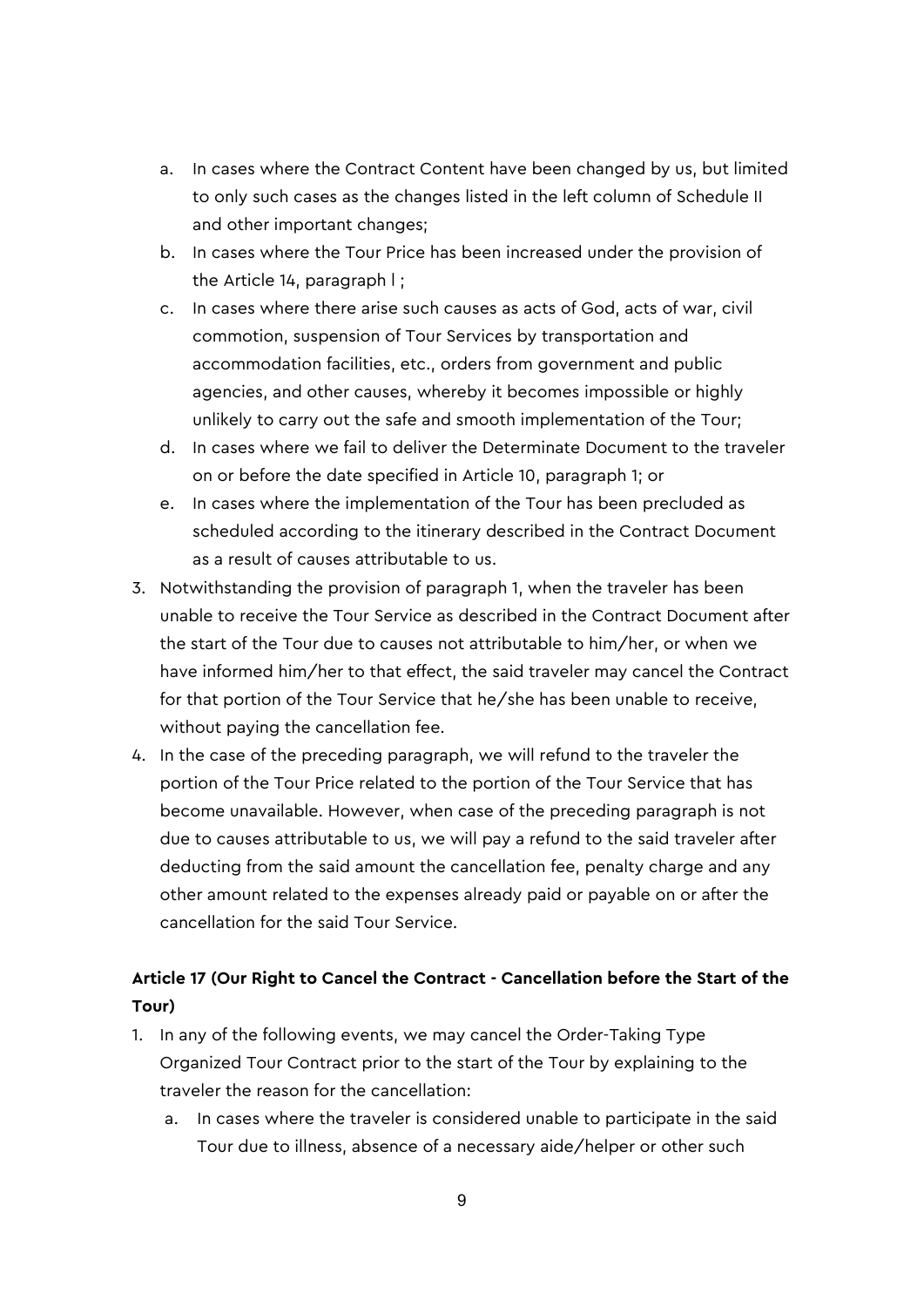- a. In cases where the Contract Content have been changed by us, but limited to only such cases as the changes listed in the left column of Schedule II and other important changes;
- b. In cases where the Tour Price has been increased under the provision of the Article 14, paragraph l ;
- c. In cases where there arise such causes as acts of God, acts of war, civil commotion, suspension of Tour Services by transportation and accommodation facilities, etc., orders from government and public agencies, and other causes, whereby it becomes impossible or highly unlikely to carry out the safe and smooth implementation of the Tour;
- d. In cases where we fail to deliver the Determinate Document to the traveler on or before the date specified in Article 10, paragraph 1; or
- e. In cases where the implementation of the Tour has been precluded as scheduled according to the itinerary described in the Contract Document as a result of causes attributable to us.
- 3. Notwithstanding the provision of paragraph 1, when the traveler has been unable to receive the Tour Service as described in the Contract Document after the start of the Tour due to causes not attributable to him/her, or when we have informed him/her to that effect, the said traveler may cancel the Contract for that portion of the Tour Service that he/she has been unable to receive, without paying the cancellation fee.
- 4. In the case of the preceding paragraph, we will refund to the traveler the portion of the Tour Price related to the portion of the Tour Service that has become unavailable. However, when case of the preceding paragraph is not due to causes attributable to us, we will pay a refund to the said traveler after deducting from the said amount the cancellation fee, penalty charge and any other amount related to the expenses already paid or payable on or after the cancellation for the said Tour Service.

# **Article 17 (Our Right to Cancel the Contract - Cancellation before the Start of the Tour)**

- 1. In any of the following events, we may cancel the Order-Taking Type Organized Tour Contract prior to the start of the Tour by explaining to the traveler the reason for the cancellation:
	- a. In cases where the traveler is considered unable to participate in the said Tour due to illness, absence of a necessary aide/helper or other such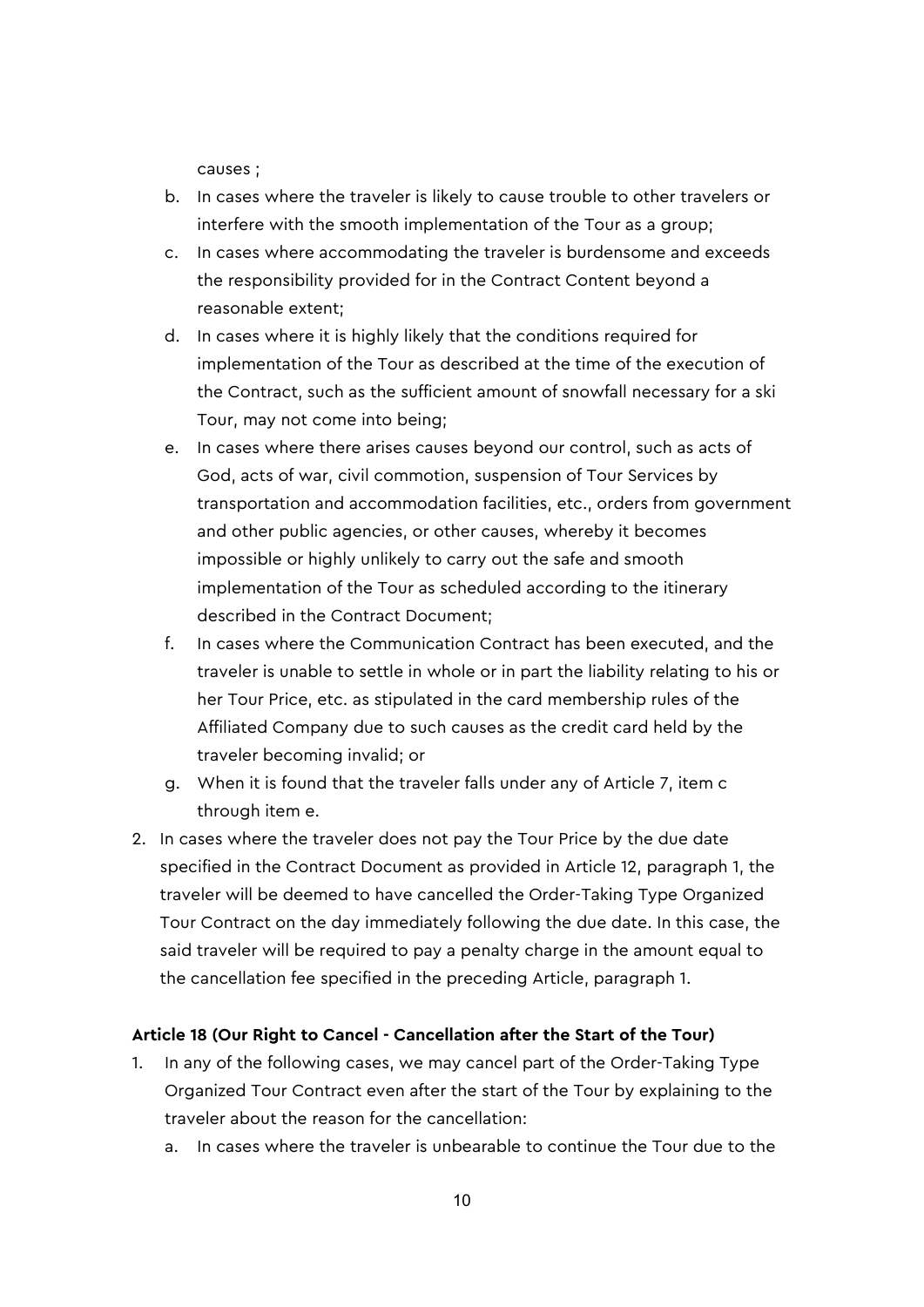causes ;

- b. In cases where the traveler is likely to cause trouble to other travelers or interfere with the smooth implementation of the Tour as a group;
- c. In cases where accommodating the traveler is burdensome and exceeds the responsibility provided for in the Contract Content beyond a reasonable extent;
- d. In cases where it is highly likely that the conditions required for implementation of the Tour as described at the time of the execution of the Contract, such as the sufficient amount of snowfall necessary for a ski Tour, may not come into being;
- e. In cases where there arises causes beyond our control, such as acts of God, acts of war, civil commotion, suspension of Tour Services by transportation and accommodation facilities, etc., orders from government and other public agencies, or other causes, whereby it becomes impossible or highly unlikely to carry out the safe and smooth implementation of the Tour as scheduled according to the itinerary described in the Contract Document;
- f. In cases where the Communication Contract has been executed, and the traveler is unable to settle in whole or in part the liability relating to his or her Tour Price, etc. as stipulated in the card membership rules of the Affiliated Company due to such causes as the credit card held by the traveler becoming invalid; or
- g. When it is found that the traveler falls under any of Article 7, item c through item e.
- 2. In cases where the traveler does not pay the Tour Price by the due date specified in the Contract Document as provided in Article 12, paragraph 1, the traveler will be deemed to have cancelled the Order-Taking Type Organized Tour Contract on the day immediately following the due date. In this case, the said traveler will be required to pay a penalty charge in the amount equal to the cancellation fee specified in the preceding Article, paragraph 1.

### **Article 18 (Our Right to Cancel - Cancellation after the Start of the Tour)**

- 1. In any of the following cases, we may cancel part of the Order-Taking Type Organized Tour Contract even after the start of the Tour by explaining to the traveler about the reason for the cancellation:
	- a. In cases where the traveler is unbearable to continue the Tour due to the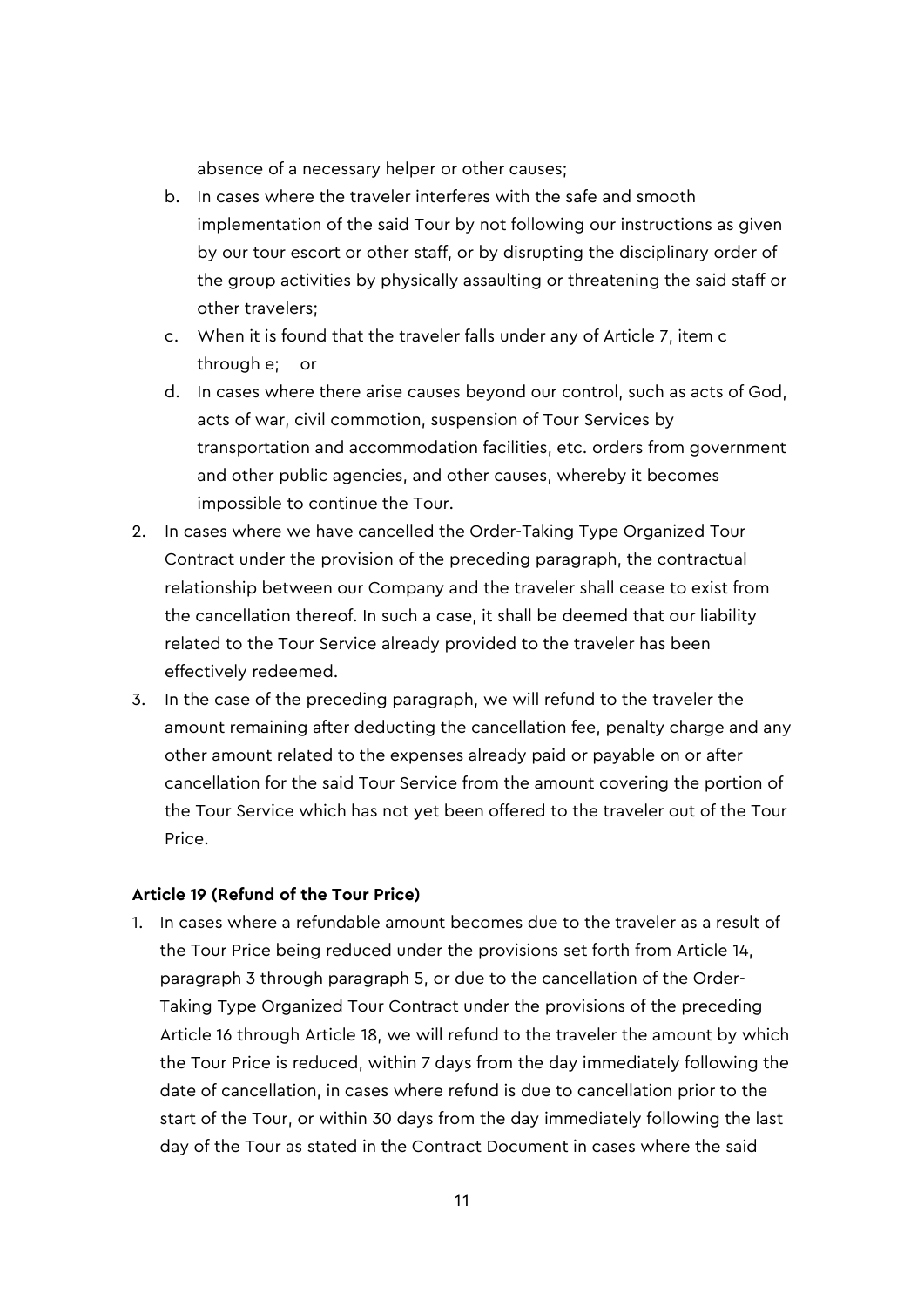absence of a necessary helper or other causes;

- b. In cases where the traveler interferes with the safe and smooth implementation of the said Tour by not following our instructions as given by our tour escort or other staff, or by disrupting the disciplinary order of the group activities by physically assaulting or threatening the said staff or other travelers;
- c. When it is found that the traveler falls under any of Article 7, item c through e; or
- d. In cases where there arise causes beyond our control, such as acts of God, acts of war, civil commotion, suspension of Tour Services by transportation and accommodation facilities, etc. orders from government and other public agencies, and other causes, whereby it becomes impossible to continue the Tour.
- 2. In cases where we have cancelled the Order-Taking Type Organized Tour Contract under the provision of the preceding paragraph, the contractual relationship between our Company and the traveler shall cease to exist from the cancellation thereof. In such a case, it shall be deemed that our liability related to the Tour Service already provided to the traveler has been effectively redeemed.
- 3. In the case of the preceding paragraph, we will refund to the traveler the amount remaining after deducting the cancellation fee, penalty charge and any other amount related to the expenses already paid or payable on or after cancellation for the said Tour Service from the amount covering the portion of the Tour Service which has not yet been offered to the traveler out of the Tour Price.

### **Article 19 (Refund of the Tour Price)**

1. In cases where a refundable amount becomes due to the traveler as a result of the Tour Price being reduced under the provisions set forth from Article 14, paragraph 3 through paragraph 5, or due to the cancellation of the Order-Taking Type Organized Tour Contract under the provisions of the preceding Article 16 through Article 18, we will refund to the traveler the amount by which the Tour Price is reduced, within 7 days from the day immediately following the date of cancellation, in cases where refund is due to cancellation prior to the start of the Tour, or within 30 days from the day immediately following the last day of the Tour as stated in the Contract Document in cases where the said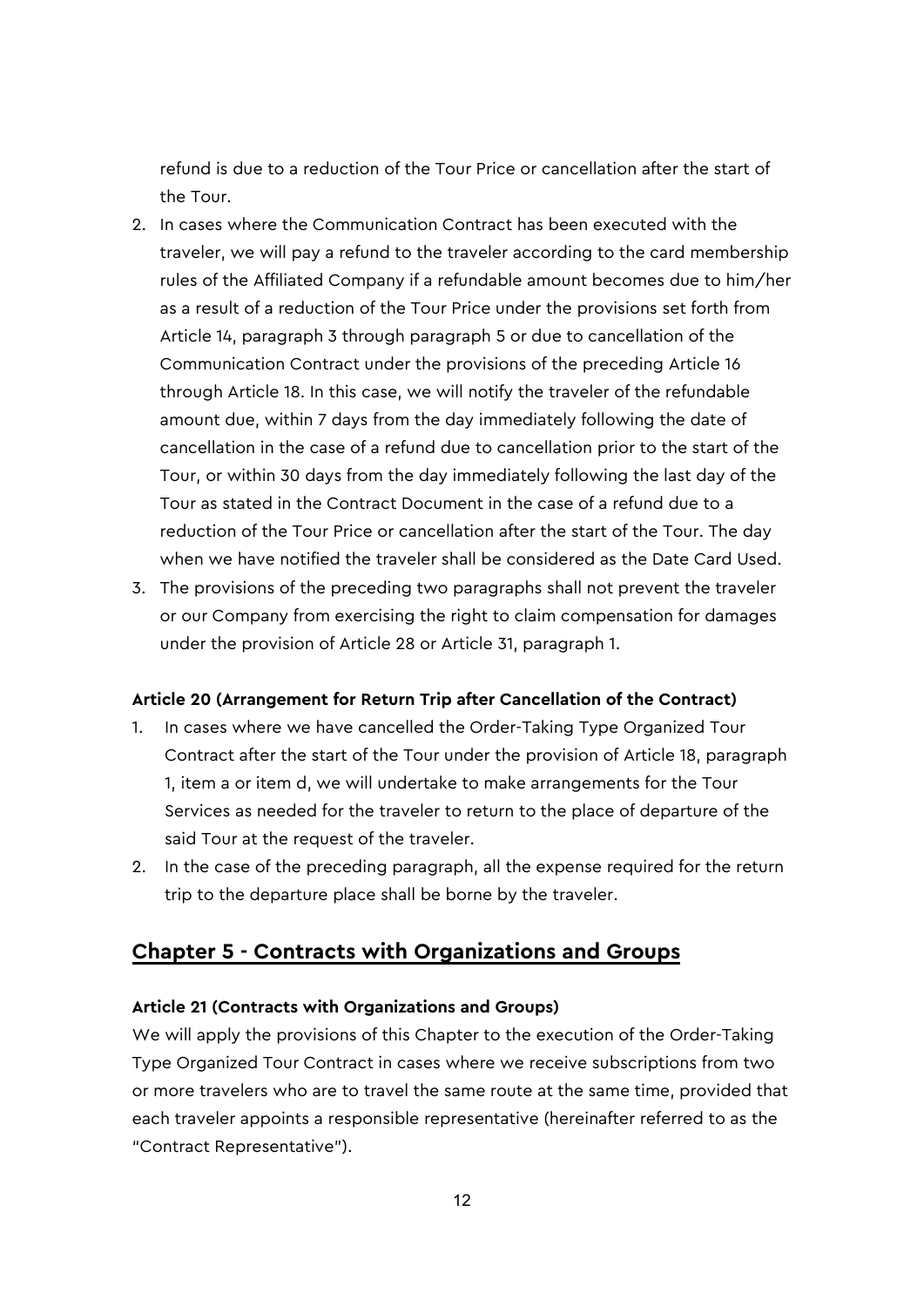refund is due to a reduction of the Tour Price or cancellation after the start of the Tour.

- 2. In cases where the Communication Contract has been executed with the traveler, we will pay a refund to the traveler according to the card membership rules of the Affiliated Company if a refundable amount becomes due to him/her as a result of a reduction of the Tour Price under the provisions set forth from Article 14, paragraph 3 through paragraph 5 or due to cancellation of the Communication Contract under the provisions of the preceding Article 16 through Article 18. In this case, we will notify the traveler of the refundable amount due, within 7 days from the day immediately following the date of cancellation in the case of a refund due to cancellation prior to the start of the Tour, or within 30 days from the day immediately following the last day of the Tour as stated in the Contract Document in the case of a refund due to a reduction of the Tour Price or cancellation after the start of the Tour. The day when we have notified the traveler shall be considered as the Date Card Used.
- 3. The provisions of the preceding two paragraphs shall not prevent the traveler or our Company from exercising the right to claim compensation for damages under the provision of Article 28 or Article 31, paragraph 1.

### **Article 20 (Arrangement for Return Trip after Cancellation of the Contract)**

- 1. In cases where we have cancelled the Order-Taking Type Organized Tour Contract after the start of the Tour under the provision of Article 18, paragraph 1, item a or item d, we will undertake to make arrangements for the Tour Services as needed for the traveler to return to the place of departure of the said Tour at the request of the traveler.
- 2. In the case of the preceding paragraph, all the expense required for the return trip to the departure place shall be borne by the traveler.

# **Chapter 5 - Contracts with Organizations and Groups**

#### **Article 21 (Contracts with Organizations and Groups)**

We will apply the provisions of this Chapter to the execution of the Order-Taking Type Organized Tour Contract in cases where we receive subscriptions from two or more travelers who are to travel the same route at the same time, provided that each traveler appoints a responsible representative (hereinafter referred to as the "Contract Representative").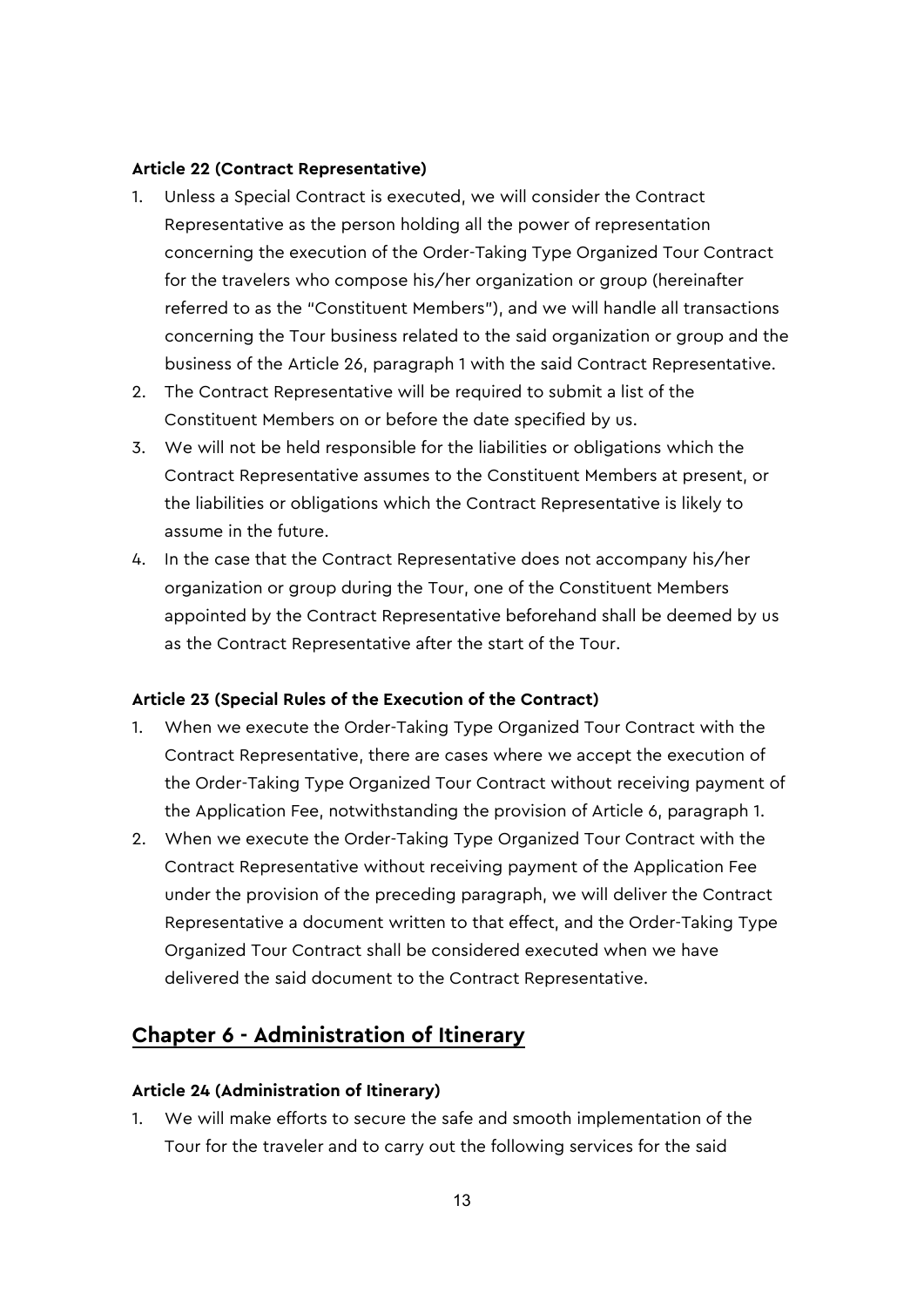#### **Article 22 (Contract Representative)**

- 1. Unless a Special Contract is executed, we will consider the Contract Representative as the person holding all the power of representation concerning the execution of the Order-Taking Type Organized Tour Contract for the travelers who compose his/her organization or group (hereinafter referred to as the "Constituent Members"), and we will handle all transactions concerning the Tour business related to the said organization or group and the business of the Article 26, paragraph 1 with the said Contract Representative.
- 2. The Contract Representative will be required to submit a list of the Constituent Members on or before the date specified by us.
- 3. We will not be held responsible for the liabilities or obligations which the Contract Representative assumes to the Constituent Members at present, or the liabilities or obligations which the Contract Representative is likely to assume in the future.
- 4. In the case that the Contract Representative does not accompany his/her organization or group during the Tour, one of the Constituent Members appointed by the Contract Representative beforehand shall be deemed by us as the Contract Representative after the start of the Tour.

#### **Article 23 (Special Rules of the Execution of the Contract)**

- 1. When we execute the Order-Taking Type Organized Tour Contract with the Contract Representative, there are cases where we accept the execution of the Order-Taking Type Organized Tour Contract without receiving payment of the Application Fee, notwithstanding the provision of Article 6, paragraph 1.
- 2. When we execute the Order-Taking Type Organized Tour Contract with the Contract Representative without receiving payment of the Application Fee under the provision of the preceding paragraph, we will deliver the Contract Representative a document written to that effect, and the Order-Taking Type Organized Tour Contract shall be considered executed when we have delivered the said document to the Contract Representative.

# **Chapter 6 - Administration of Itinerary**

#### **Article 24 (Administration of Itinerary)**

1. We will make efforts to secure the safe and smooth implementation of the Tour for the traveler and to carry out the following services for the said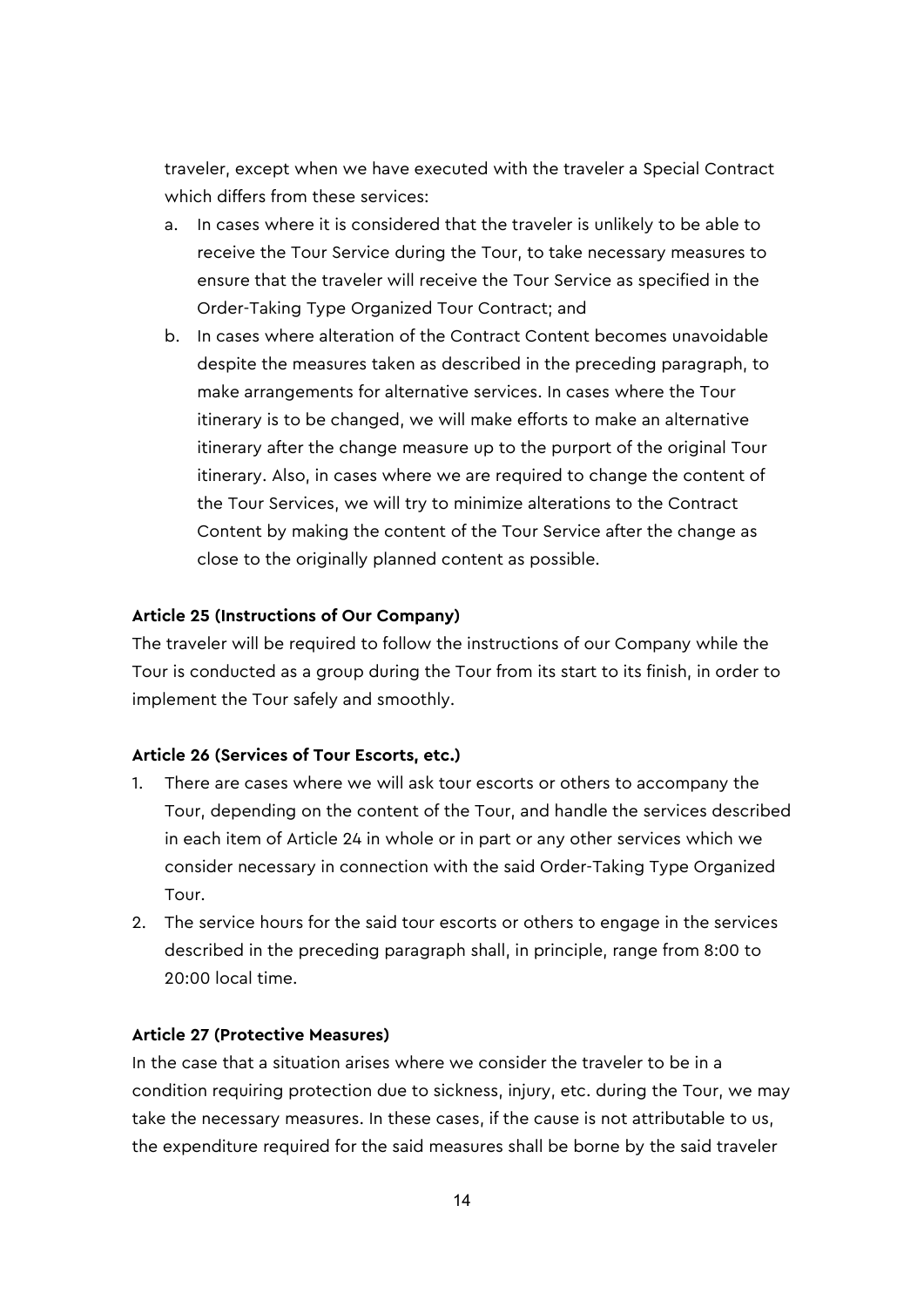traveler, except when we have executed with the traveler a Special Contract which differs from these services:

- a. In cases where it is considered that the traveler is unlikely to be able to receive the Tour Service during the Tour, to take necessary measures to ensure that the traveler will receive the Tour Service as specified in the Order-Taking Type Organized Tour Contract; and
- b. In cases where alteration of the Contract Content becomes unavoidable despite the measures taken as described in the preceding paragraph, to make arrangements for alternative services. In cases where the Tour itinerary is to be changed, we will make efforts to make an alternative itinerary after the change measure up to the purport of the original Tour itinerary. Also, in cases where we are required to change the content of the Tour Services, we will try to minimize alterations to the Contract Content by making the content of the Tour Service after the change as close to the originally planned content as possible.

### **Article 25 (Instructions of Our Company)**

The traveler will be required to follow the instructions of our Company while the Tour is conducted as a group during the Tour from its start to its finish, in order to implement the Tour safely and smoothly.

### **Article 26 (Services of Tour Escorts, etc.)**

- 1. There are cases where we will ask tour escorts or others to accompany the Tour, depending on the content of the Tour, and handle the services described in each item of Article 24 in whole or in part or any other services which we consider necessary in connection with the said Order-Taking Type Organized Tour.
- 2. The service hours for the said tour escorts or others to engage in the services described in the preceding paragraph shall, in principle, range from 8:00 to 20:00 local time.

### **Article 27 (Protective Measures)**

In the case that a situation arises where we consider the traveler to be in a condition requiring protection due to sickness, injury, etc. during the Tour, we may take the necessary measures. In these cases, if the cause is not attributable to us, the expenditure required for the said measures shall be borne by the said traveler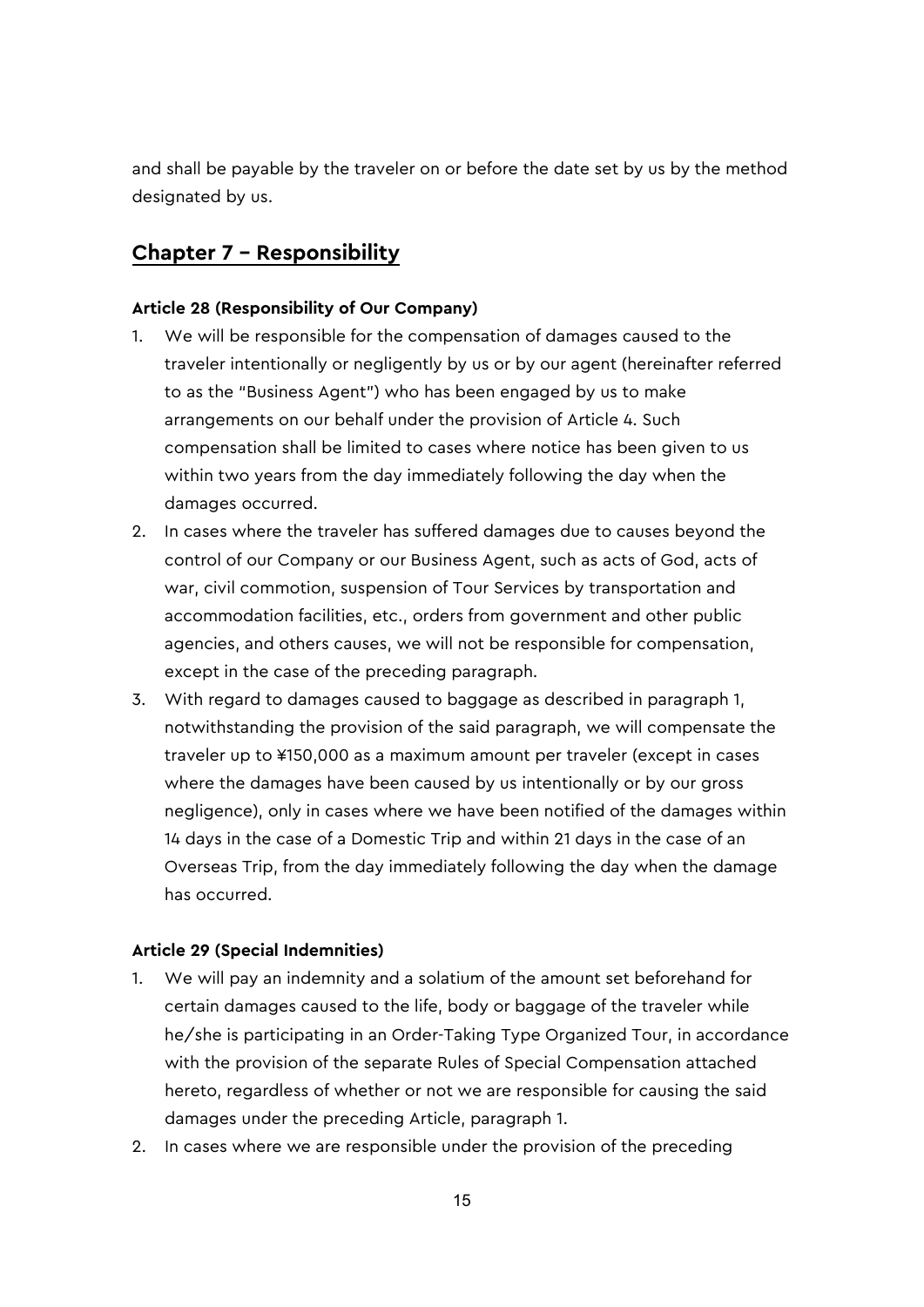and shall be payable by the traveler on or before the date set by us by the method designated by us.

# **Chapter 7 – Responsibility**

### **Article 28 (Responsibility of Our Company)**

- 1. We will be responsible for the compensation of damages caused to the traveler intentionally or negligently by us or by our agent (hereinafter referred to as the "Business Agent") who has been engaged by us to make arrangements on our behalf under the provision of Article 4. Such compensation shall be limited to cases where notice has been given to us within two years from the day immediately following the day when the damages occurred.
- 2. In cases where the traveler has suffered damages due to causes beyond the control of our Company or our Business Agent, such as acts of God, acts of war, civil commotion, suspension of Tour Services by transportation and accommodation facilities, etc., orders from government and other public agencies, and others causes, we will not be responsible for compensation, except in the case of the preceding paragraph.
- 3. With regard to damages caused to baggage as described in paragraph 1, notwithstanding the provision of the said paragraph, we will compensate the traveler up to ¥150,000 as a maximum amount per traveler (except in cases where the damages have been caused by us intentionally or by our gross negligence), only in cases where we have been notified of the damages within 14 days in the case of a Domestic Trip and within 21 days in the case of an Overseas Trip, from the day immediately following the day when the damage has occurred.

### **Article 29 (Special Indemnities)**

- 1. We will pay an indemnity and a solatium of the amount set beforehand for certain damages caused to the life, body or baggage of the traveler while he/she is participating in an Order-Taking Type Organized Tour, in accordance with the provision of the separate Rules of Special Compensation attached hereto, regardless of whether or not we are responsible for causing the said damages under the preceding Article, paragraph 1.
- 2. In cases where we are responsible under the provision of the preceding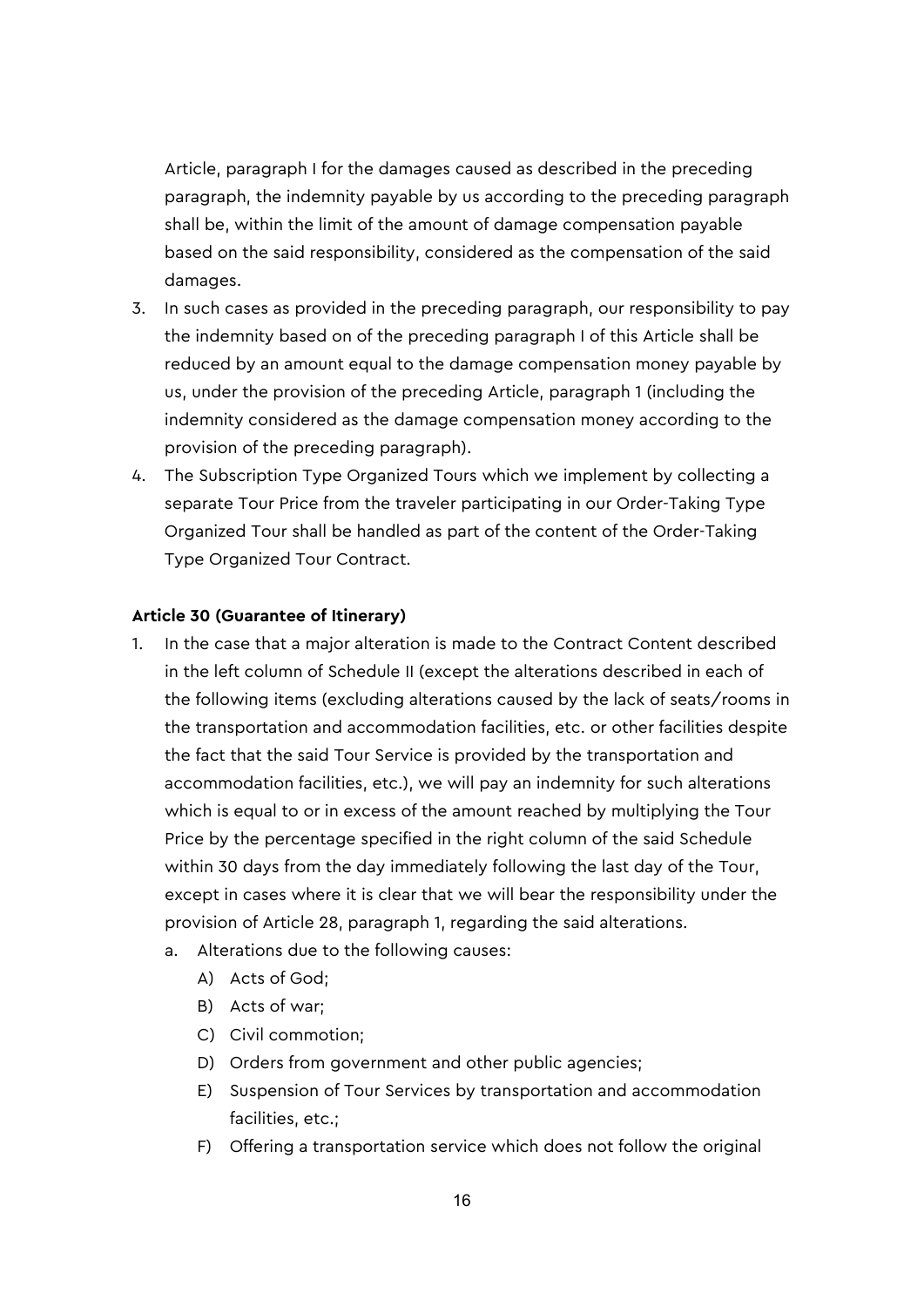Article, paragraph I for the damages caused as described in the preceding paragraph, the indemnity payable by us according to the preceding paragraph shall be, within the limit of the amount of damage compensation payable based on the said responsibility, considered as the compensation of the said damages.

- 3. In such cases as provided in the preceding paragraph, our responsibility to pay the indemnity based on of the preceding paragraph I of this Article shall be reduced by an amount equal to the damage compensation money payable by us, under the provision of the preceding Article, paragraph 1 (including the indemnity considered as the damage compensation money according to the provision of the preceding paragraph).
- 4. The Subscription Type Organized Tours which we implement by collecting a separate Tour Price from the traveler participating in our Order-Taking Type Organized Tour shall be handled as part of the content of the Order-Taking Type Organized Tour Contract.

### **Article 30 (Guarantee of Itinerary)**

- 1. In the case that a major alteration is made to the Contract Content described in the left column of Schedule II (except the alterations described in each of the following items (excluding alterations caused by the lack of seats/rooms in the transportation and accommodation facilities, etc. or other facilities despite the fact that the said Tour Service is provided by the transportation and accommodation facilities, etc.), we will pay an indemnity for such alterations which is equal to or in excess of the amount reached by multiplying the Tour Price by the percentage specified in the right column of the said Schedule within 30 days from the day immediately following the last day of the Tour, except in cases where it is clear that we will bear the responsibility under the provision of Article 28, paragraph 1, regarding the said alterations.
	- a. Alterations due to the following causes:
		- A) Acts of God;
		- B) Acts of war;
		- C) Civil commotion;
		- D) Orders from government and other public agencies;
		- E) Suspension of Tour Services by transportation and accommodation facilities, etc.;
		- F) Offering a transportation service which does not follow the original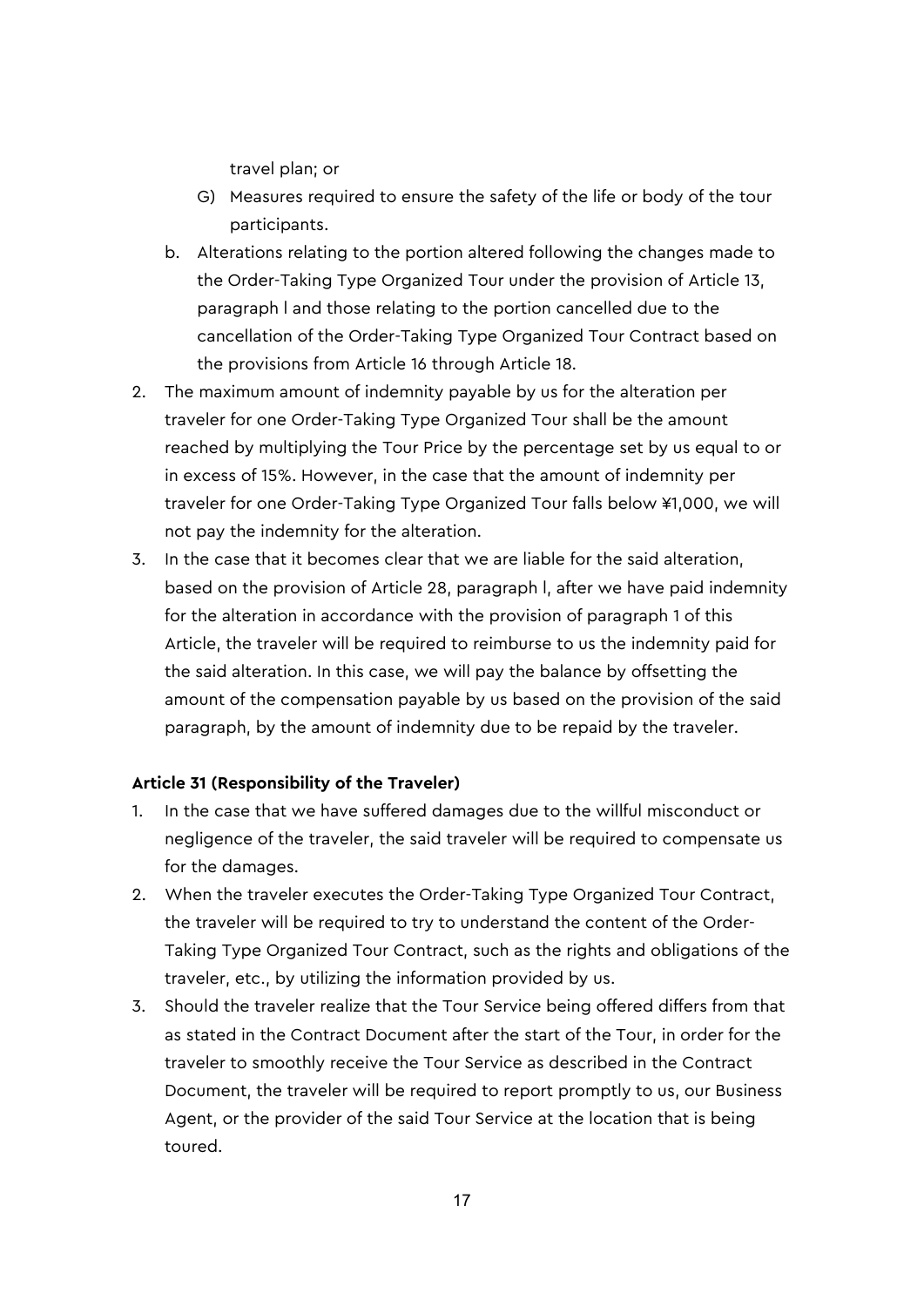travel plan; or

- G) Measures required to ensure the safety of the life or body of the tour participants.
- b. Alterations relating to the portion altered following the changes made to the Order-Taking Type Organized Tour under the provision of Article 13, paragraph l and those relating to the portion cancelled due to the cancellation of the Order-Taking Type Organized Tour Contract based on the provisions from Article 16 through Article 18.
- 2. The maximum amount of indemnity payable by us for the alteration per traveler for one Order-Taking Type Organized Tour shall be the amount reached by multiplying the Tour Price by the percentage set by us equal to or in excess of 15%. However, in the case that the amount of indemnity per traveler for one Order-Taking Type Organized Tour falls below ¥1,000, we will not pay the indemnity for the alteration.
- 3. In the case that it becomes clear that we are liable for the said alteration, based on the provision of Article 28, paragraph l, after we have paid indemnity for the alteration in accordance with the provision of paragraph 1 of this Article, the traveler will be required to reimburse to us the indemnity paid for the said alteration. In this case, we will pay the balance by offsetting the amount of the compensation payable by us based on the provision of the said paragraph, by the amount of indemnity due to be repaid by the traveler.

### **Article 31 (Responsibility of the Traveler)**

- 1. In the case that we have suffered damages due to the willful misconduct or negligence of the traveler, the said traveler will be required to compensate us for the damages.
- 2. When the traveler executes the Order-Taking Type Organized Tour Contract, the traveler will be required to try to understand the content of the Order-Taking Type Organized Tour Contract, such as the rights and obligations of the traveler, etc., by utilizing the information provided by us.
- 3. Should the traveler realize that the Tour Service being offered differs from that as stated in the Contract Document after the start of the Tour, in order for the traveler to smoothly receive the Tour Service as described in the Contract Document, the traveler will be required to report promptly to us, our Business Agent, or the provider of the said Tour Service at the location that is being toured.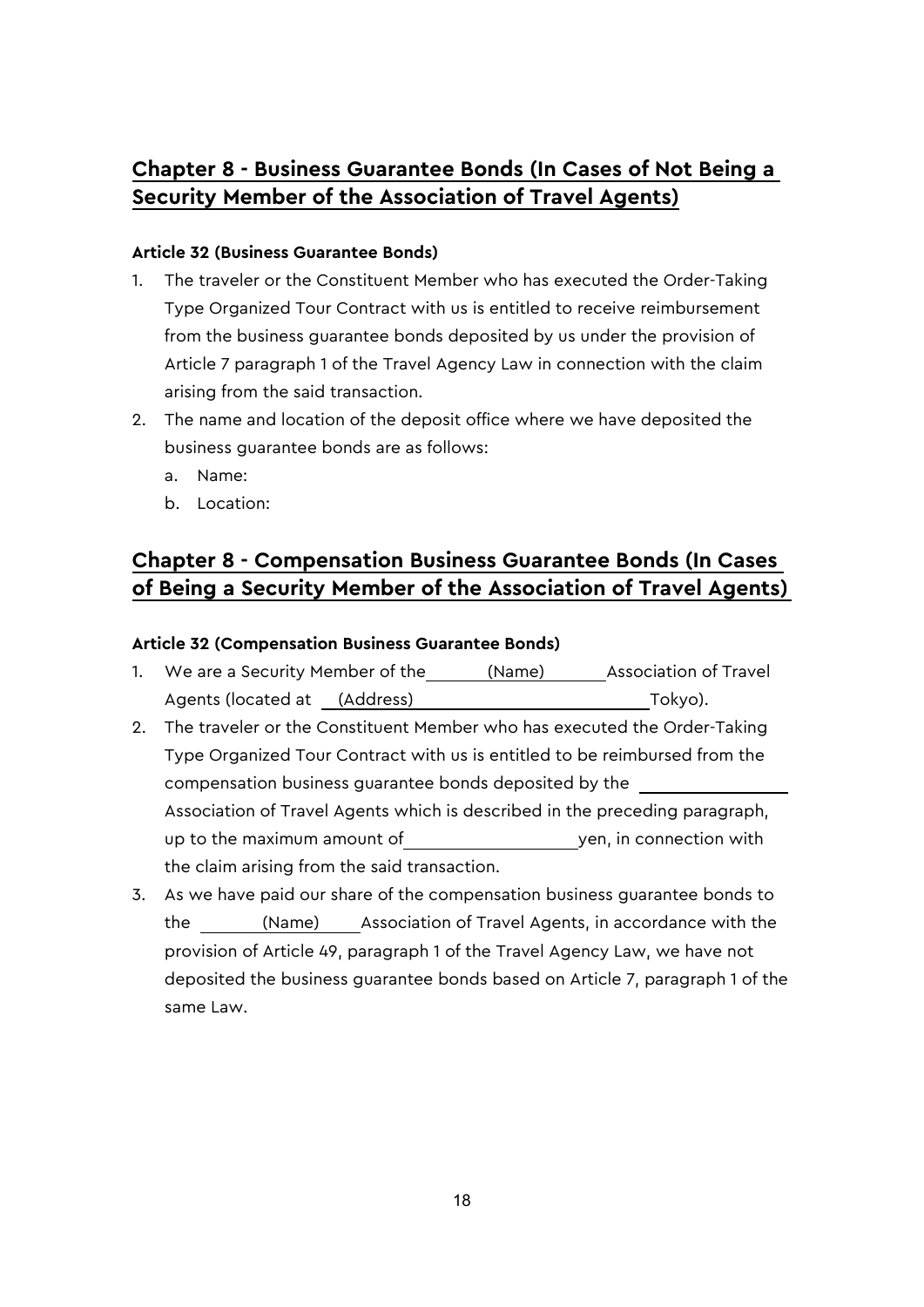# **Chapter 8 - Business Guarantee Bonds (In Cases of Not Being a Security Member of the Association of Travel Agents)**

### **Article 32 (Business Guarantee Bonds)**

- 1. The traveler or the Constituent Member who has executed the Order-Taking Type Organized Tour Contract with us is entitled to receive reimbursement from the business guarantee bonds deposited by us under the provision of Article 7 paragraph 1 of the Travel Agency Law in connection with the claim arising from the said transaction.
- 2. The name and location of the deposit office where we have deposited the business guarantee bonds are as follows:
	- a. Name:
	- b. Location:

# **Chapter 8 - Compensation Business Guarantee Bonds (In Cases of Being a Security Member of the Association of Travel Agents)**

### **Article 32 (Compensation Business Guarantee Bonds)**

- 1. We are a Security Member of the \_\_\_\_\_\_ (Name) Association of Travel Agents (located at (Address) Tokyo).
- 2. The traveler or the Constituent Member who has executed the Order-Taking Type Organized Tour Contract with us is entitled to be reimbursed from the compensation business guarantee bonds deposited by the Association of Travel Agents which is described in the preceding paragraph, up to the maximum amount of yen, in connection with the claim arising from the said transaction.
- 3. As we have paid our share of the compensation business guarantee bonds to the (Name) Association of Travel Agents, in accordance with the provision of Article 49, paragraph 1 of the Travel Agency Law, we have not deposited the business guarantee bonds based on Article 7, paragraph 1 of the same Law.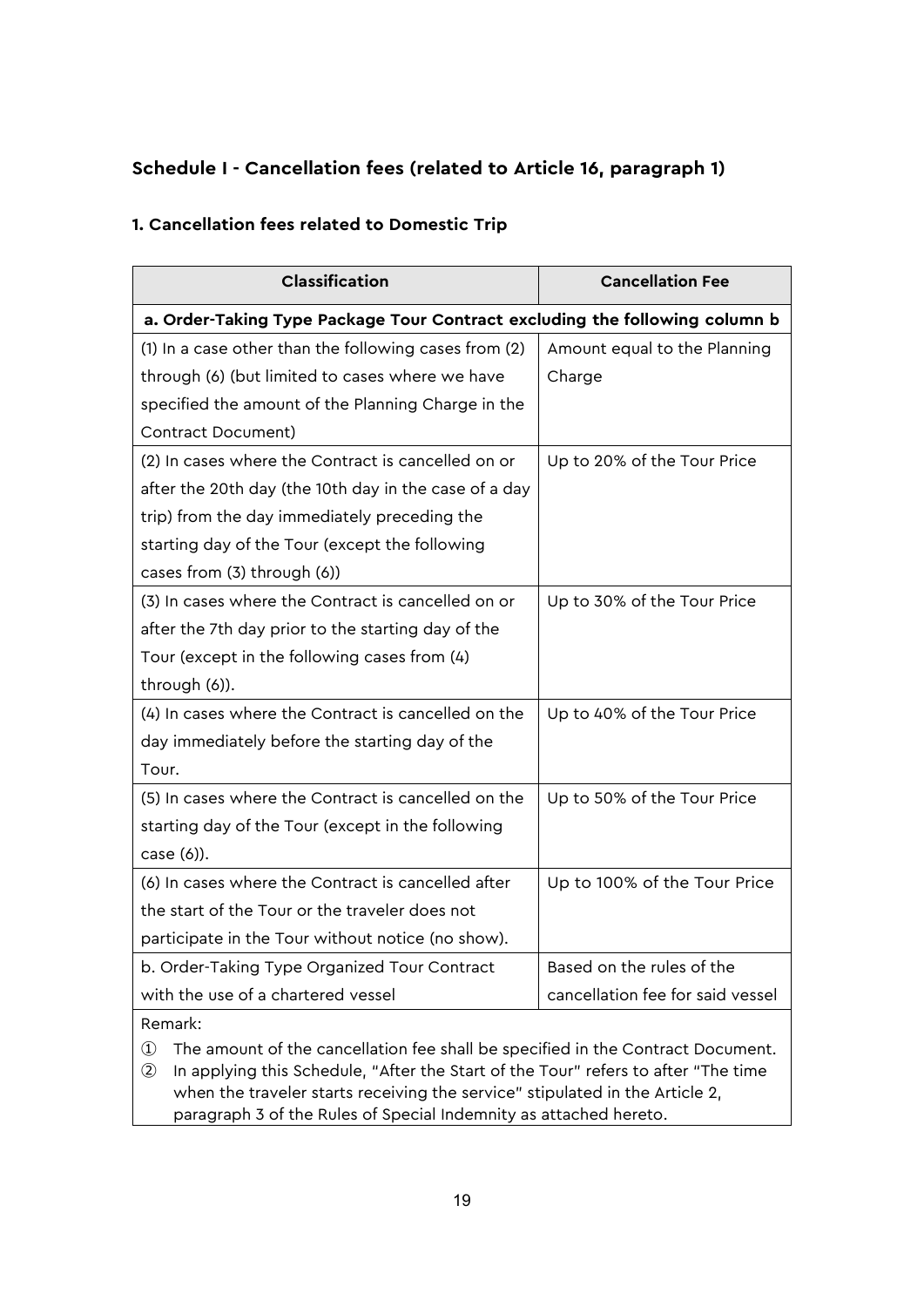# **Schedule I - Cancellation fees (related to Article 16, paragraph 1)**

## **1. Cancellation fees related to Domestic Trip**

| Classification                                                              | <b>Cancellation Fee</b>          |  |  |  |
|-----------------------------------------------------------------------------|----------------------------------|--|--|--|
| a. Order-Taking Type Package Tour Contract excluding the following column b |                                  |  |  |  |
| (1) In a case other than the following cases from (2)                       | Amount equal to the Planning     |  |  |  |
| through (6) (but limited to cases where we have                             | Charge                           |  |  |  |
| specified the amount of the Planning Charge in the                          |                                  |  |  |  |
| <b>Contract Document)</b>                                                   |                                  |  |  |  |
| (2) In cases where the Contract is cancelled on or                          | Up to 20% of the Tour Price      |  |  |  |
| after the 20th day (the 10th day in the case of a day                       |                                  |  |  |  |
| trip) from the day immediately preceding the                                |                                  |  |  |  |
| starting day of the Tour (except the following                              |                                  |  |  |  |
| cases from (3) through (6))                                                 |                                  |  |  |  |
| (3) In cases where the Contract is cancelled on or                          | Up to 30% of the Tour Price      |  |  |  |
| after the 7th day prior to the starting day of the                          |                                  |  |  |  |
| Tour (except in the following cases from (4)                                |                                  |  |  |  |
| through (6)).                                                               |                                  |  |  |  |
| (4) In cases where the Contract is cancelled on the                         | Up to 40% of the Tour Price      |  |  |  |
| day immediately before the starting day of the                              |                                  |  |  |  |
| Tour.                                                                       |                                  |  |  |  |
| (5) In cases where the Contract is cancelled on the                         | Up to 50% of the Tour Price      |  |  |  |
| starting day of the Tour (except in the following                           |                                  |  |  |  |
| case (6)).                                                                  |                                  |  |  |  |
| (6) In cases where the Contract is cancelled after                          | Up to 100% of the Tour Price     |  |  |  |
| the start of the Tour or the traveler does not                              |                                  |  |  |  |
| participate in the Tour without notice (no show).                           |                                  |  |  |  |
| b. Order-Taking Type Organized Tour Contract                                | Based on the rules of the        |  |  |  |
| with the use of a chartered vessel                                          | cancellation fee for said vessel |  |  |  |
| Remark:                                                                     |                                  |  |  |  |

- ① The amount of the cancellation fee shall be specified in the Contract Document.
- ② In applying this Schedule, "After the Start of the Tour" refers to after "The time when the traveler starts receiving the service" stipulated in the Article 2, paragraph 3 of the Rules of Special Indemnity as attached hereto.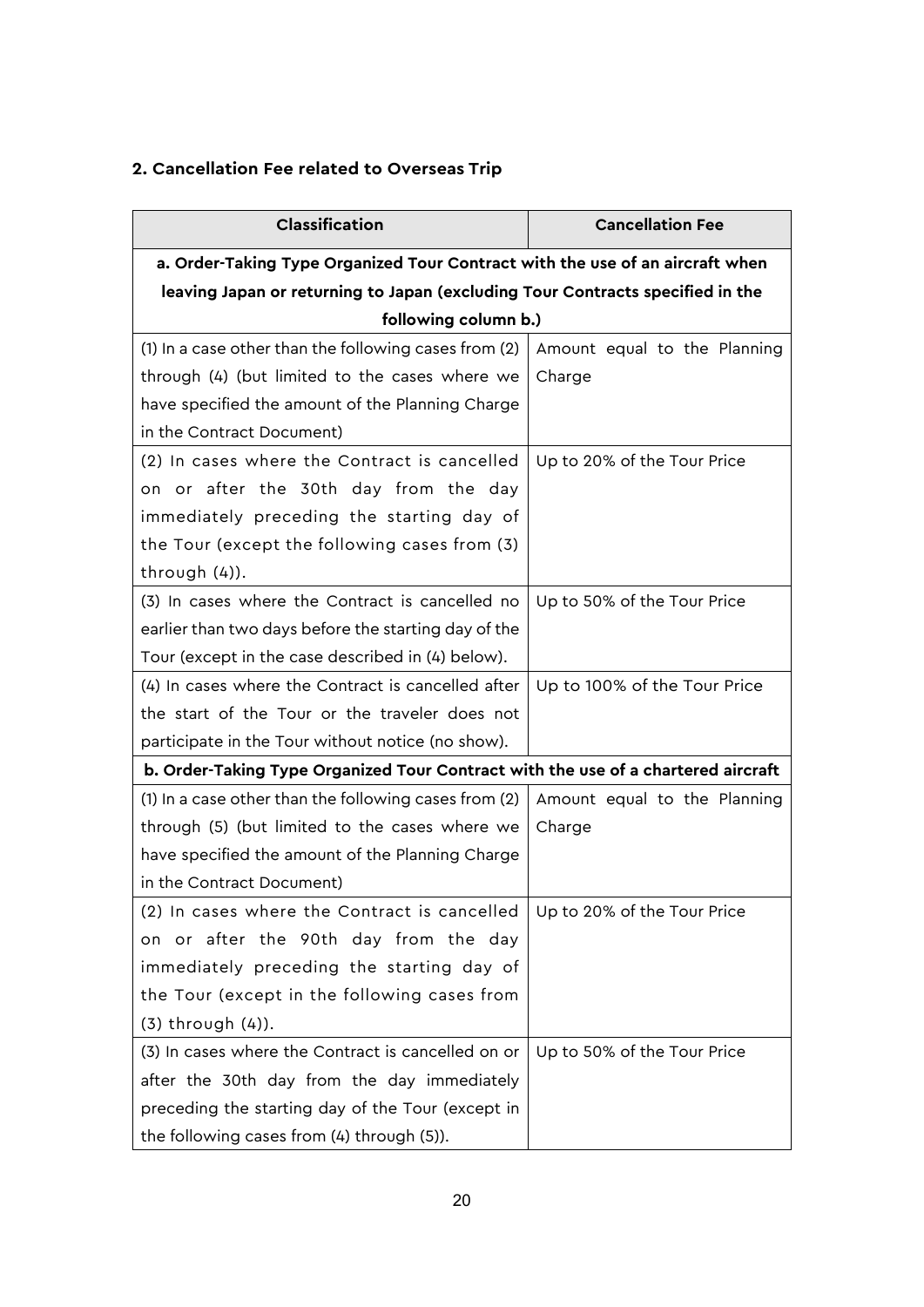# **2. Cancellation Fee related to Overseas Trip**

| Classification                                                                    | <b>Cancellation Fee</b>      |  |  |  |
|-----------------------------------------------------------------------------------|------------------------------|--|--|--|
| a. Order-Taking Type Organized Tour Contract with the use of an aircraft when     |                              |  |  |  |
| leaving Japan or returning to Japan (excluding Tour Contracts specified in the    |                              |  |  |  |
| following column b.)                                                              |                              |  |  |  |
| (1) In a case other than the following cases from (2)                             | Amount equal to the Planning |  |  |  |
| through (4) (but limited to the cases where we                                    | Charge                       |  |  |  |
| have specified the amount of the Planning Charge                                  |                              |  |  |  |
| in the Contract Document)                                                         |                              |  |  |  |
| (2) In cases where the Contract is cancelled                                      | Up to 20% of the Tour Price  |  |  |  |
| on or after the 30th day from the day                                             |                              |  |  |  |
| immediately preceding the starting day of                                         |                              |  |  |  |
| the Tour (except the following cases from (3)                                     |                              |  |  |  |
| through (4)).                                                                     |                              |  |  |  |
| (3) In cases where the Contract is cancelled no                                   | Up to 50% of the Tour Price  |  |  |  |
| earlier than two days before the starting day of the                              |                              |  |  |  |
| Tour (except in the case described in (4) below).                                 |                              |  |  |  |
| (4) In cases where the Contract is cancelled after                                | Up to 100% of the Tour Price |  |  |  |
| the start of the Tour or the traveler does not                                    |                              |  |  |  |
| participate in the Tour without notice (no show).                                 |                              |  |  |  |
| b. Order-Taking Type Organized Tour Contract with the use of a chartered aircraft |                              |  |  |  |
| (1) In a case other than the following cases from (2)                             | Amount equal to the Planning |  |  |  |
| through (5) (but limited to the cases where we                                    | Charge                       |  |  |  |
| have specified the amount of the Planning Charge                                  |                              |  |  |  |
| in the Contract Document)                                                         |                              |  |  |  |
| (2) In cases where the Contract is cancelled                                      | Up to 20% of the Tour Price  |  |  |  |
| on or after the 90th day from the day                                             |                              |  |  |  |
| immediately preceding the starting day of                                         |                              |  |  |  |
| the Tour (except in the following cases from                                      |                              |  |  |  |
| (3) through (4)).                                                                 |                              |  |  |  |
| (3) In cases where the Contract is cancelled on or                                | Up to 50% of the Tour Price  |  |  |  |
| after the 30th day from the day immediately                                       |                              |  |  |  |
| preceding the starting day of the Tour (except in                                 |                              |  |  |  |
| the following cases from (4) through (5)).                                        |                              |  |  |  |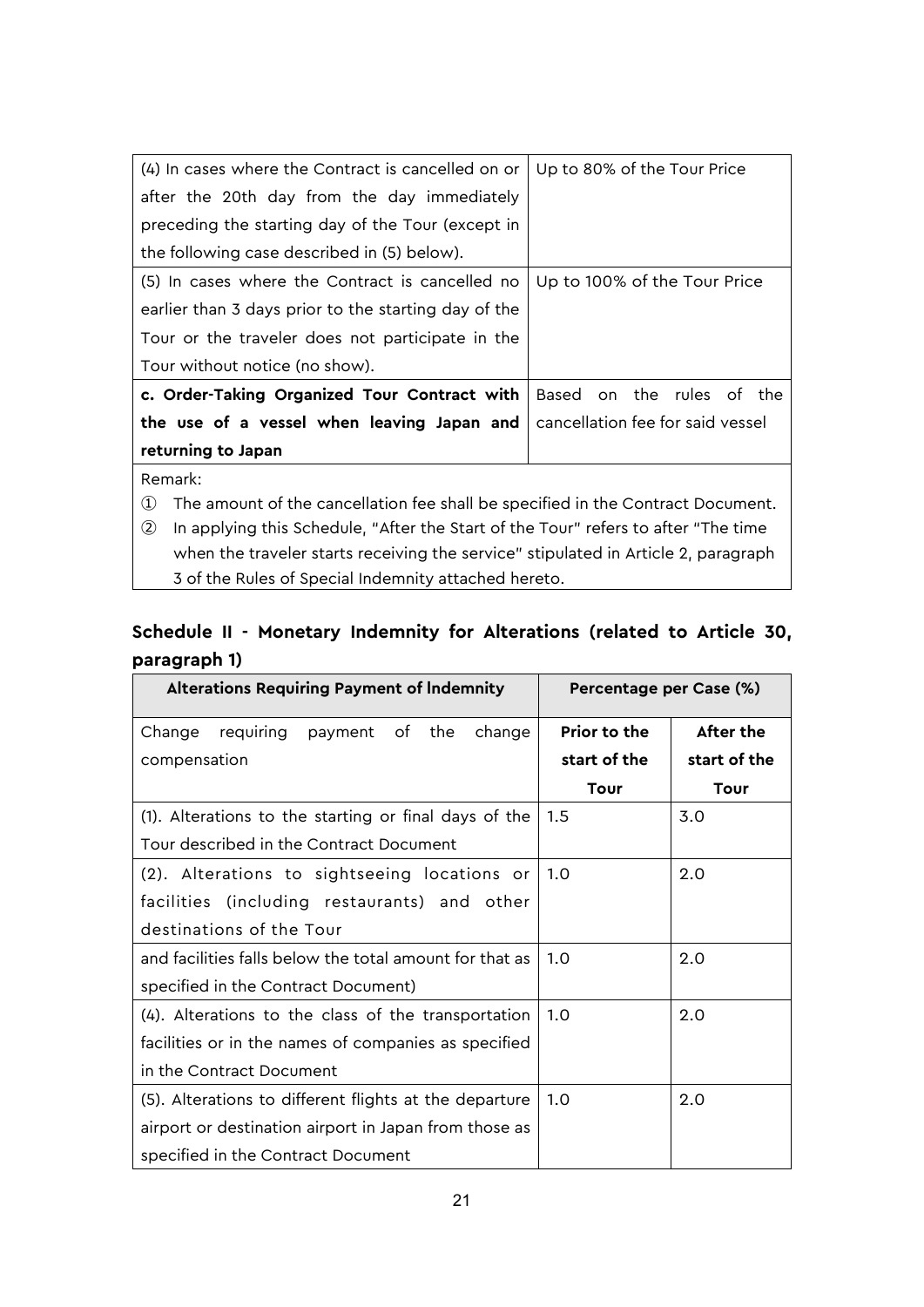| (4) In cases where the Contract is cancelled on or                                                   | Up to 80% of the Tour Price      |  |
|------------------------------------------------------------------------------------------------------|----------------------------------|--|
| after the 20th day from the day immediately                                                          |                                  |  |
| preceding the starting day of the Tour (except in                                                    |                                  |  |
| the following case described in (5) below).                                                          |                                  |  |
| (5) In cases where the Contract is cancelled no                                                      | Up to 100% of the Tour Price     |  |
| earlier than 3 days prior to the starting day of the                                                 |                                  |  |
| Tour or the traveler does not participate in the                                                     |                                  |  |
| Tour without notice (no show).                                                                       |                                  |  |
| c. Order-Taking Organized Tour Contract with                                                         | Based on the rules of the        |  |
| the use of a vessel when leaving Japan and                                                           | cancellation fee for said vessel |  |
| returning to Japan                                                                                   |                                  |  |
| Remark:                                                                                              |                                  |  |
| The amount of the cancellation fee shall be specified in the Contract Document.<br>$\left( 1\right)$ |                                  |  |

② In applying this Schedule, "After the Start of the Tour" refers to after "The time when the traveler starts receiving the service" stipulated in Article 2, paragraph 3 of the Rules of Special Indemnity attached hereto.

# **Schedule II - Monetary Indemnity for Alterations (related to Article 30, paragraph 1)**

| <b>Alterations Requiring Payment of Indemnity</b>       | Percentage per Case (%) |              |
|---------------------------------------------------------|-------------------------|--------------|
| payment of the<br>change<br>Change<br>requiring         | <b>Prior to the</b>     | After the    |
| compensation                                            | start of the            | start of the |
|                                                         | Tour                    | Tour         |
| (1). Alterations to the starting or final days of the   | 1.5                     | 3.0          |
| Tour described in the Contract Document                 |                         |              |
| (2). Alterations to sightseeing locations or            | 1.0                     | 2.0          |
| facilities (including restaurants) and other            |                         |              |
| destinations of the Tour                                |                         |              |
| and facilities falls below the total amount for that as | 1.0                     | 2.0          |
| specified in the Contract Document)                     |                         |              |
| (4). Alterations to the class of the transportation     | 1.0                     | 2.0          |
| facilities or in the names of companies as specified    |                         |              |
| in the Contract Document                                |                         |              |
| (5). Alterations to different flights at the departure  | 1.0                     | 2.0          |
| airport or destination airport in Japan from those as   |                         |              |
| specified in the Contract Document                      |                         |              |